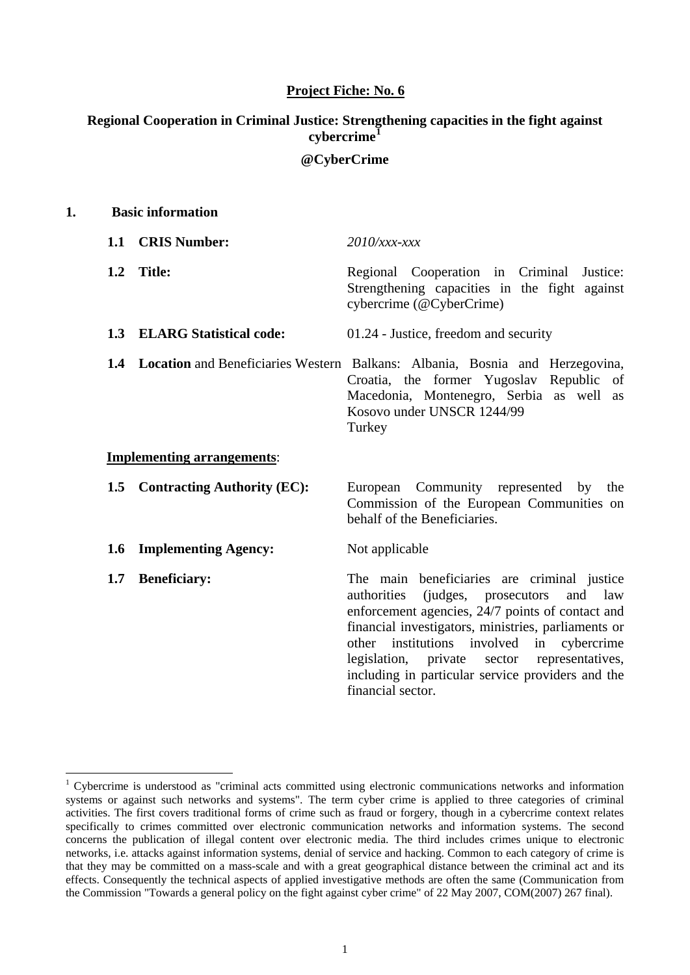#### **Project Fiche: No. 6**

# **Regional Cooperation in Criminal Justice: Strengthening capacities in the fight against cybercrime[1](#page-0-0)**

#### **@CyberCrime**

| 1. |     | <b>Basic information</b>           |                                                                                                                                                                                                                                                                                                                                                                                                 |  |  |  |  |  |  |
|----|-----|------------------------------------|-------------------------------------------------------------------------------------------------------------------------------------------------------------------------------------------------------------------------------------------------------------------------------------------------------------------------------------------------------------------------------------------------|--|--|--|--|--|--|
|    |     | 1.1 CRIS Number:                   | $2010$ /xxx-xxx                                                                                                                                                                                                                                                                                                                                                                                 |  |  |  |  |  |  |
|    | 1.2 | <b>Title:</b>                      | Regional Cooperation in Criminal<br>Justice:<br>Strengthening capacities in the fight against<br>cybercrime (@CyberCrime)                                                                                                                                                                                                                                                                       |  |  |  |  |  |  |
|    |     | 1.3 ELARG Statistical code:        | 01.24 - Justice, freedom and security                                                                                                                                                                                                                                                                                                                                                           |  |  |  |  |  |  |
|    |     |                                    | 1.4 Location and Beneficiaries Western Balkans: Albania, Bosnia and Herzegovina,<br>Croatia, the former Yugoslav Republic of<br>Macedonia, Montenegro, Serbia as well as<br>Kosovo under UNSCR 1244/99<br>Turkey                                                                                                                                                                                |  |  |  |  |  |  |
|    |     | <b>Implementing arrangements:</b>  |                                                                                                                                                                                                                                                                                                                                                                                                 |  |  |  |  |  |  |
|    | 1.5 | <b>Contracting Authority (EC):</b> | Community represented<br>European<br>by<br>the<br>Commission of the European Communities on<br>behalf of the Beneficiaries.                                                                                                                                                                                                                                                                     |  |  |  |  |  |  |
|    | 1.6 | <b>Implementing Agency:</b>        | Not applicable                                                                                                                                                                                                                                                                                                                                                                                  |  |  |  |  |  |  |
|    | 1.7 | <b>Beneficiary:</b>                | The main beneficiaries are criminal justice<br>authorities<br>(judges, prosecutors)<br>and law<br>enforcement agencies, 24/7 points of contact and<br>financial investigators, ministries, parliaments or<br>other institutions involved<br>in<br>cybercrime<br>legislation,<br>representatives,<br>private<br>sector<br>including in particular service providers and the<br>financial sector. |  |  |  |  |  |  |

<span id="page-0-0"></span><sup>&</sup>lt;sup>1</sup> Cybercrime is understood as "criminal acts committed using electronic communications networks and information systems or against such networks and systems". The term cyber crime is applied to three categories of criminal activities. The first covers traditional forms of crime such as fraud or forgery, though in a cybercrime context relates specifically to crimes committed over electronic communication networks and information systems. The second concerns the publication of illegal content over electronic media. The third includes crimes unique to electronic networks, i.e. attacks against information systems, denial of service and hacking. Common to each category of crime is that they may be committed on a mass-scale and with a great geographical distance between the criminal act and its effects. Consequently the technical aspects of applied investigative methods are often the same (Communication from the Commission "Towards a general policy on the fight against cyber crime" of 22 May 2007, COM(2007) 267 final).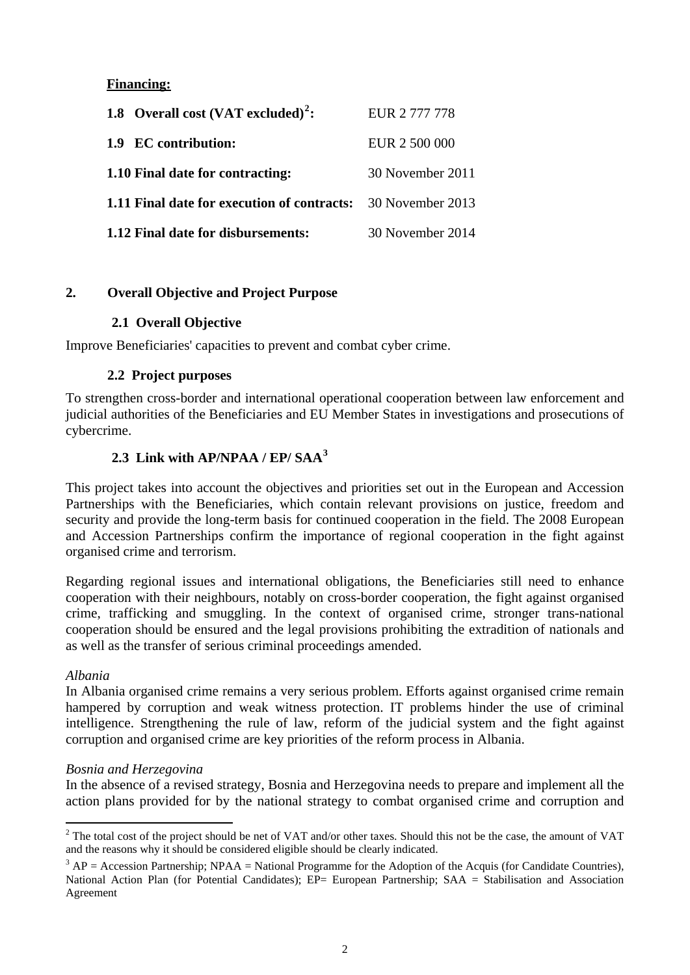# **Financing:**

| 1.8 Overall cost $(VAT excluded)^2$ :                               | EUR 2 777 778    |
|---------------------------------------------------------------------|------------------|
| 1.9 EC contribution:                                                | EUR 2 500 000    |
| 1.10 Final date for contracting:                                    | 30 November 2011 |
| <b>1.11 Final date for execution of contracts:</b> 30 November 2013 |                  |
| 1.12 Final date for disbursements:                                  | 30 November 2014 |

## **2. Overall Objective and Project Purpose**

## **2.1 Overall Objective**

Improve Beneficiaries' capacities to prevent and combat cyber crime.

## **2.2 Project purposes**

To strengthen cross-border and international operational cooperation between law enforcement and judicial authorities of the Beneficiaries and EU Member States in investigations and prosecutions of cybercrime.

# **2.3 Link with AP/NPAA / EP/ SAA[3](#page-1-1)**

This project takes into account the objectives and priorities set out in the European and Accession Partnerships with the Beneficiaries, which contain relevant provisions on justice, freedom and security and provide the long-term basis for continued cooperation in the field. The 2008 European and Accession Partnerships confirm the importance of regional cooperation in the fight against organised crime and terrorism.

Regarding regional issues and international obligations, the Beneficiaries still need to enhance cooperation with their neighbours, notably on cross-border cooperation, the fight against organised crime, trafficking and smuggling. In the context of organised crime, stronger trans-national cooperation should be ensured and the legal provisions prohibiting the extradition of nationals and as well as the transfer of serious criminal proceedings amended.

## *Albania*

In Albania organised crime remains a very serious problem. Efforts against organised crime remain hampered by corruption and weak witness protection. IT problems hinder the use of criminal intelligence. Strengthening the rule of law, reform of the judicial system and the fight against corruption and organised crime are key priorities of the reform process in Albania.

## *Bosnia and Herzegovina*

In the absence of a revised strategy, Bosnia and Herzegovina needs to prepare and implement all the action plans provided for by the national strategy to combat organised crime and corruption and

 $\overline{a}$  $2^2$  The total cost of the project should be net of VAT and/or other taxes. Should this not be the case, the amount of VAT and the reasons why it should be considered eligible should be clearly indicated.

<span id="page-1-1"></span><span id="page-1-0"></span> $3 AP = Accession$  Partnership; NPAA = National Programme for the Adoption of the Acquis (for Candidate Countries), National Action Plan (for Potential Candidates); EP= European Partnership; SAA = Stabilisation and Association Agreement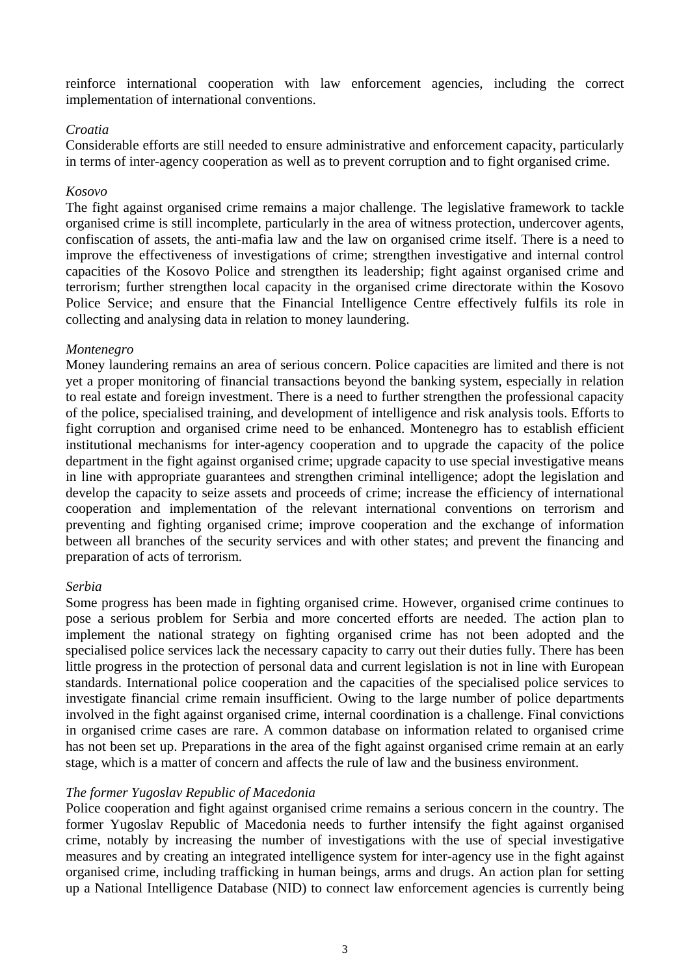reinforce international cooperation with law enforcement agencies, including the correct implementation of international conventions.

#### *Croatia*

Considerable efforts are still needed to ensure administrative and enforcement capacity, particularly in terms of inter-agency cooperation as well as to prevent corruption and to fight organised crime.

#### *Kosovo*

The fight against organised crime remains a major challenge. The legislative framework to tackle organised crime is still incomplete, particularly in the area of witness protection, undercover agents, confiscation of assets, the anti-mafia law and the law on organised crime itself. There is a need to improve the effectiveness of investigations of crime; strengthen investigative and internal control capacities of the Kosovo Police and strengthen its leadership; fight against organised crime and terrorism; further strengthen local capacity in the organised crime directorate within the Kosovo Police Service; and ensure that the Financial Intelligence Centre effectively fulfils its role in collecting and analysing data in relation to money laundering.

#### *Montenegro*

Money laundering remains an area of serious concern. Police capacities are limited and there is not yet a proper monitoring of financial transactions beyond the banking system, especially in relation to real estate and foreign investment. There is a need to further strengthen the professional capacity of the police, specialised training, and development of intelligence and risk analysis tools. Efforts to fight corruption and organised crime need to be enhanced. Montenegro has to establish efficient institutional mechanisms for inter-agency cooperation and to upgrade the capacity of the police department in the fight against organised crime; upgrade capacity to use special investigative means in line with appropriate guarantees and strengthen criminal intelligence; adopt the legislation and develop the capacity to seize assets and proceeds of crime; increase the efficiency of international cooperation and implementation of the relevant international conventions on terrorism and preventing and fighting organised crime; improve cooperation and the exchange of information between all branches of the security services and with other states; and prevent the financing and preparation of acts of terrorism.

## *Serbia*

Some progress has been made in fighting organised crime. However, organised crime continues to pose a serious problem for Serbia and more concerted efforts are needed. The action plan to implement the national strategy on fighting organised crime has not been adopted and the specialised police services lack the necessary capacity to carry out their duties fully. There has been little progress in the protection of personal data and current legislation is not in line with European standards. International police cooperation and the capacities of the specialised police services to investigate financial crime remain insufficient. Owing to the large number of police departments involved in the fight against organised crime, internal coordination is a challenge. Final convictions in organised crime cases are rare. A common database on information related to organised crime has not been set up. Preparations in the area of the fight against organised crime remain at an early stage, which is a matter of concern and affects the rule of law and the business environment.

## *The former Yugoslav Republic of Macedonia*

Police cooperation and fight against organised crime remains a serious concern in the country. The former Yugoslav Republic of Macedonia needs to further intensify the fight against organised crime, notably by increasing the number of investigations with the use of special investigative measures and by creating an integrated intelligence system for inter-agency use in the fight against organised crime, including trafficking in human beings, arms and drugs. An action plan for setting up a National Intelligence Database (NID) to connect law enforcement agencies is currently being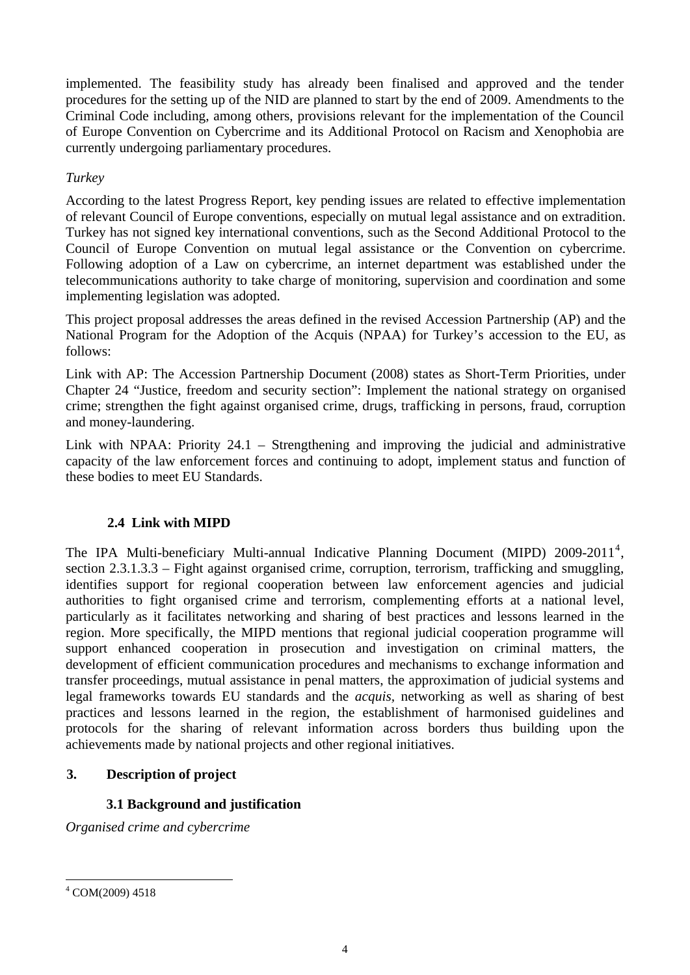implemented. The feasibility study has already been finalised and approved and the tender procedures for the setting up of the NID are planned to start by the end of 2009. Amendments to the Criminal Code including, among others, provisions relevant for the implementation of the Council of Europe Convention on Cybercrime and its Additional Protocol on Racism and Xenophobia are currently undergoing parliamentary procedures.

# *Turkey*

According to the latest Progress Report, key pending issues are related to effective implementation of relevant Council of Europe conventions, especially on mutual legal assistance and on extradition. Turkey has not signed key international conventions, such as the Second Additional Protocol to the Council of Europe Convention on mutual legal assistance or the Convention on cybercrime. Following adoption of a Law on cybercrime, an internet department was established under the telecommunications authority to take charge of monitoring, supervision and coordination and some implementing legislation was adopted.

This project proposal addresses the areas defined in the revised Accession Partnership (AP) and the National Program for the Adoption of the Acquis (NPAA) for Turkey's accession to the EU, as follows:

Link with AP: The Accession Partnership Document (2008) states as Short-Term Priorities, under Chapter 24 "Justice, freedom and security section": Implement the national strategy on organised crime; strengthen the fight against organised crime, drugs, trafficking in persons, fraud, corruption and money-laundering.

Link with NPAA: Priority 24.1 – Strengthening and improving the judicial and administrative capacity of the law enforcement forces and continuing to adopt, implement status and function of these bodies to meet EU Standards.

# **2.4 Link with MIPD**

The IPA Multi-beneficiary Multi-annual Indicative Planning Document (MIPD)  $2009-2011^4$  $2009-2011^4$ , section 2.3.1.3.3 – Fight against organised crime, corruption, terrorism, trafficking and smuggling, identifies support for regional cooperation between law enforcement agencies and judicial authorities to fight organised crime and terrorism, complementing efforts at a national level, particularly as it facilitates networking and sharing of best practices and lessons learned in the region. More specifically, the MIPD mentions that regional judicial cooperation programme will support enhanced cooperation in prosecution and investigation on criminal matters, the development of efficient communication procedures and mechanisms to exchange information and transfer proceedings, mutual assistance in penal matters, the approximation of judicial systems and legal frameworks towards EU standards and the *acquis,* networking as well as sharing of best practices and lessons learned in the region, the establishment of harmonised guidelines and protocols for the sharing of relevant information across borders thus building upon the achievements made by national projects and other regional initiatives.

# **3. Description of project**

# **3.1 Background and justification**

*Organised crime and cybercrime* 

<span id="page-3-0"></span><sup>4</sup> COM(2009) 4518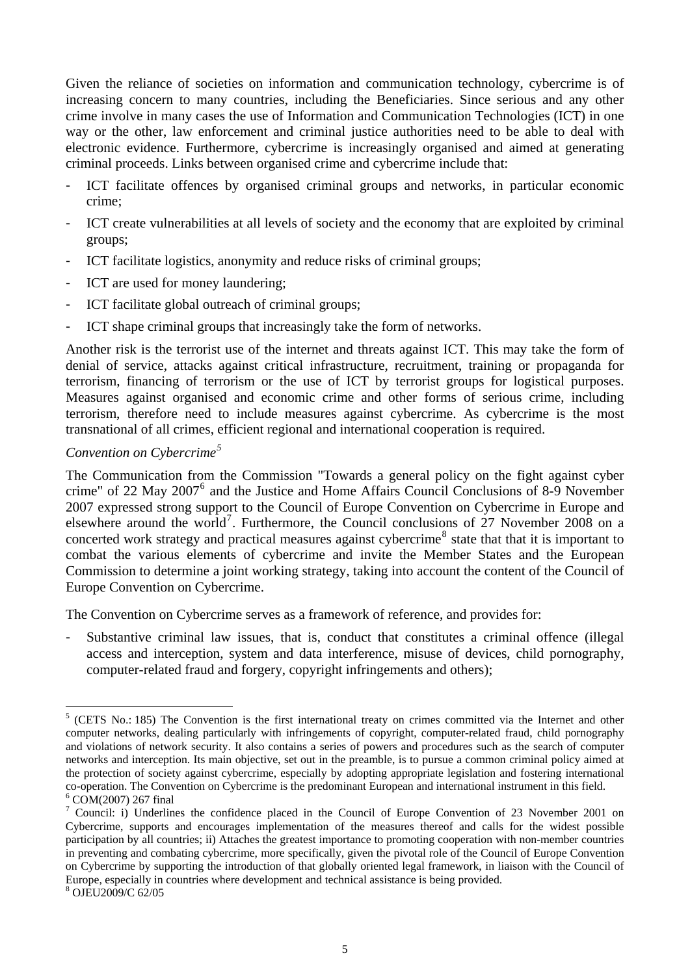Given the reliance of societies on information and communication technology, cybercrime is of increasing concern to many countries, including the Beneficiaries. Since serious and any other crime involve in many cases the use of Information and Communication Technologies (ICT) in one way or the other, law enforcement and criminal justice authorities need to be able to deal with electronic evidence. Furthermore, cybercrime is increasingly organised and aimed at generating criminal proceeds. Links between organised crime and cybercrime include that:

- ICT facilitate offences by organised criminal groups and networks, in particular economic crime;
- ICT create vulnerabilities at all levels of society and the economy that are exploited by criminal groups;
- ICT facilitate logistics, anonymity and reduce risks of criminal groups;
- ICT are used for money laundering;
- ICT facilitate global outreach of criminal groups:
- ICT shape criminal groups that increasingly take the form of networks.

Another risk is the terrorist use of the internet and threats against ICT. This may take the form of denial of service, attacks against critical infrastructure, recruitment, training or propaganda for terrorism, financing of terrorism or the use of ICT by terrorist groups for logistical purposes. Measures against organised and economic crime and other forms of serious crime, including terrorism, therefore need to include measures against cybercrime. As cybercrime is the most transnational of all crimes, efficient regional and international cooperation is required.

# *Convention on Cybercrime[5](#page-4-0)*

The Communication from the Commission "Towards a general policy on the fight against cyber crime" of 22 May 2007<sup>[6](#page-4-1)</sup> and the Justice and Home Affairs Council Conclusions of 8-9 November 2007 expressed strong support to the Council of Europe Convention on Cybercrime in Europe and elsewhere around the world<sup>[7](#page-4-2)</sup>. Furthermore, the Council conclusions of 27 November 2008 on a concerted work strategy and practical measures against cybercrime<sup>[8](#page-4-3)</sup> state that that it is important to combat the various elements of cybercrime and invite the Member States and the European Commission to determine a joint working strategy, taking into account the content of the Council of Europe Convention on Cybercrime.

The Convention on Cybercrime serves as a framework of reference, and provides for:

Substantive criminal law issues, that is, conduct that constitutes a criminal offence (illegal access and interception, system and data interference, misuse of devices, child pornography, computer-related fraud and forgery, copyright infringements and others);

<sup>&</sup>lt;sup>5</sup> (CETS No.: 185) The Convention is the first international treaty on crimes committed via the Internet and other computer networks, dealing particularly with infringements of copyright, computer-related fraud, child pornography and violations of network security. It also contains a series of powers and procedures such as the search of computer networks and interception. Its main objective, set out in the preamble, is to pursue a common criminal policy aimed at the protection of society against cybercrime, especially by adopting appropriate legislation and fostering international co-operation. The Convention on Cybercrime is the predominant European and international instrument in this field. 6  $6^{\circ}$  COM(2007) 267 final

<sup>&</sup>lt;sup>7</sup> Council: i) Underlines the confidence placed in the Council of Europe Convention of 23 November 2001 on Cybercrime, supports and encourages implementation of the measures thereof and calls for the widest possible participation by all countries; ii) Attaches the greatest importance to promoting cooperation with non-member countries in preventing and combating cybercrime, more specifically, given the pivotal role of the Council of Europe Convention on Cybercrime by supporting the introduction of that globally oriented legal framework, in liaison with the Council of Europe, especially in countries where development and technical assistance is being provided.

<span id="page-4-3"></span><span id="page-4-2"></span><span id="page-4-1"></span><span id="page-4-0"></span><sup>8</sup> OJEU2009/C 62/05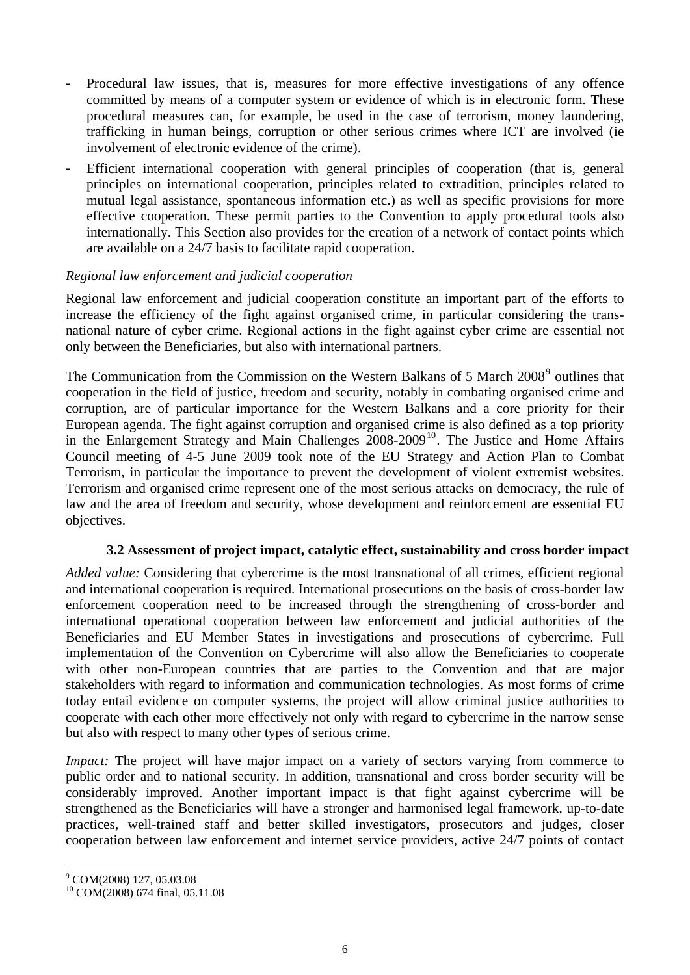- Procedural law issues, that is, measures for more effective investigations of any offence committed by means of a computer system or evidence of which is in electronic form. These procedural measures can, for example, be used in the case of terrorism, money laundering, trafficking in human beings, corruption or other serious crimes where ICT are involved (ie involvement of electronic evidence of the crime).
- Efficient international cooperation with general principles of cooperation (that is, general principles on international cooperation, principles related to extradition, principles related to mutual legal assistance, spontaneous information etc.) as well as specific provisions for more effective cooperation. These permit parties to the Convention to apply procedural tools also internationally. This Section also provides for the creation of a network of contact points which are available on a 24/7 basis to facilitate rapid cooperation.

## *Regional law enforcement and judicial cooperation*

Regional law enforcement and judicial cooperation constitute an important part of the efforts to increase the efficiency of the fight against organised crime, in particular considering the transnational nature of cyber crime. Regional actions in the fight against cyber crime are essential not only between the Beneficiaries, but also with international partners.

The Communication from the Commission on the Western Balkans of 5 March 2008<sup>[9](#page-5-0)</sup> outlines that cooperation in the field of justice, freedom and security, notably in combating organised crime and corruption, are of particular importance for the Western Balkans and a core priority for their European agenda. The fight against corruption and organised crime is also defined as a top priority in the Enlargement Strategy and Main Challenges  $2008-2009$ <sup>[10](#page-5-1)</sup>. The Justice and Home Affairs Council meeting of 4-5 June 2009 took note of the EU Strategy and Action Plan to Combat Terrorism, in particular the importance to prevent the development of violent extremist websites. Terrorism and organised crime represent one of the most serious attacks on democracy, the rule of law and the area of freedom and security, whose development and reinforcement are essential EU objectives.

## **3.2 Assessment of project impact, catalytic effect, sustainability and cross border impact**

*Added value:* Considering that cybercrime is the most transnational of all crimes, efficient regional and international cooperation is required. International prosecutions on the basis of cross-border law enforcement cooperation need to be increased through the strengthening of cross-border and international operational cooperation between law enforcement and judicial authorities of the Beneficiaries and EU Member States in investigations and prosecutions of cybercrime. Full implementation of the Convention on Cybercrime will also allow the Beneficiaries to cooperate with other non-European countries that are parties to the Convention and that are major stakeholders with regard to information and communication technologies. As most forms of crime today entail evidence on computer systems, the project will allow criminal justice authorities to cooperate with each other more effectively not only with regard to cybercrime in the narrow sense but also with respect to many other types of serious crime.

*Impact:* The project will have major impact on a variety of sectors varying from commerce to public order and to national security. In addition, transnational and cross border security will be considerably improved. Another important impact is that fight against cybercrime will be strengthened as the Beneficiaries will have a stronger and harmonised legal framework, up-to-date practices, well-trained staff and better skilled investigators, prosecutors and judges, closer cooperation between law enforcement and internet service providers, active 24/7 points of contact

<span id="page-5-0"></span><sup>9</sup> COM(2008) 127, 05.03.08

<span id="page-5-1"></span><sup>10</sup> COM(2008) 674 final, 05.11.08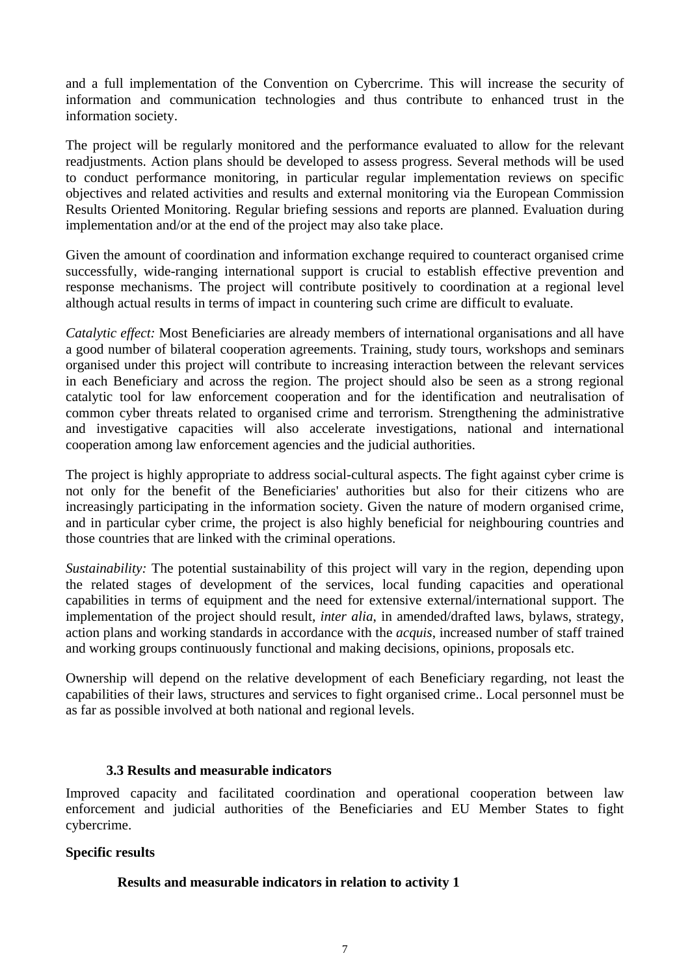and a full implementation of the Convention on Cybercrime. This will increase the security of information and communication technologies and thus contribute to enhanced trust in the information society.

The project will be regularly monitored and the performance evaluated to allow for the relevant readjustments. Action plans should be developed to assess progress. Several methods will be used to conduct performance monitoring, in particular regular implementation reviews on specific objectives and related activities and results and external monitoring via the European Commission Results Oriented Monitoring. Regular briefing sessions and reports are planned. Evaluation during implementation and/or at the end of the project may also take place.

Given the amount of coordination and information exchange required to counteract organised crime successfully, wide-ranging international support is crucial to establish effective prevention and response mechanisms. The project will contribute positively to coordination at a regional level although actual results in terms of impact in countering such crime are difficult to evaluate.

*Catalytic effect:* Most Beneficiaries are already members of international organisations and all have a good number of bilateral cooperation agreements. Training, study tours, workshops and seminars organised under this project will contribute to increasing interaction between the relevant services in each Beneficiary and across the region. The project should also be seen as a strong regional catalytic tool for law enforcement cooperation and for the identification and neutralisation of common cyber threats related to organised crime and terrorism. Strengthening the administrative and investigative capacities will also accelerate investigations, national and international cooperation among law enforcement agencies and the judicial authorities.

The project is highly appropriate to address social-cultural aspects. The fight against cyber crime is not only for the benefit of the Beneficiaries' authorities but also for their citizens who are increasingly participating in the information society. Given the nature of modern organised crime, and in particular cyber crime, the project is also highly beneficial for neighbouring countries and those countries that are linked with the criminal operations.

*Sustainability:* The potential sustainability of this project will vary in the region, depending upon the related stages of development of the services, local funding capacities and operational capabilities in terms of equipment and the need for extensive external/international support. The implementation of the project should result, *inter alia*, in amended/drafted laws, bylaws, strategy, action plans and working standards in accordance with the *acquis*, increased number of staff trained and working groups continuously functional and making decisions, opinions, proposals etc.

Ownership will depend on the relative development of each Beneficiary regarding, not least the capabilities of their laws, structures and services to fight organised crime.. Local personnel must be as far as possible involved at both national and regional levels.

## **3.3 Results and measurable indicators**

Improved capacity and facilitated coordination and operational cooperation between law enforcement and judicial authorities of the Beneficiaries and EU Member States to fight cybercrime.

## **Specific results**

## **Results and measurable indicators in relation to activity 1**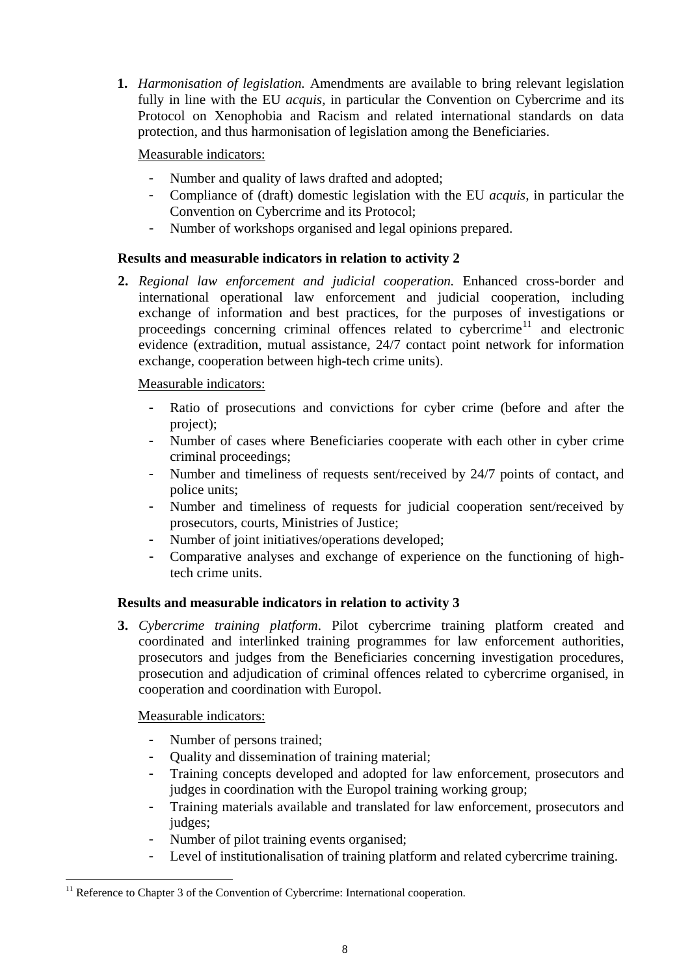<span id="page-7-0"></span>**1.** *Harmonisation of legislation.* Amendments are available to bring relevant legislation fully in line with the EU *acquis,* in particular the Convention on Cybercrime and its Protocol on Xenophobia and Racism and related international standards on data protection, and thus harmonisation of legislation among the Beneficiaries.

Measurable indicators:

- Number and quality of laws drafted and adopted;
- Compliance of (draft) domestic legislation with the EU *acquis,* in particular the Convention on Cybercrime and its Protocol;
- Number of workshops organised and legal opinions prepared.

# **Results and measurable indicators in relation to activity 2**

**2.** *Regional law enforcement and judicial cooperation.* Enhanced cross-border and international operational law enforcement and judicial cooperation, including exchange of information and best practices, for the purposes of investigations or proceedings concerning criminal offences related to cybercrime<sup>[11](#page-7-0)</sup> and electronic evidence (extradition, mutual assistance, 24/7 contact point network for information exchange, cooperation between high-tech crime units).

# Measurable indicators:

- Ratio of prosecutions and convictions for cyber crime (before and after the project);
- Number of cases where Beneficiaries cooperate with each other in cyber crime criminal proceedings;
- Number and timeliness of requests sent/received by 24/7 points of contact, and police units;
- Number and timeliness of requests for judicial cooperation sent/received by prosecutors, courts, Ministries of Justice;
- Number of joint initiatives/operations developed;
- Comparative analyses and exchange of experience on the functioning of hightech crime units.

# **Results and measurable indicators in relation to activity 3**

**3.** *Cybercrime training platform*. Pilot cybercrime training platform created and coordinated and interlinked training programmes for law enforcement authorities, prosecutors and judges from the Beneficiaries concerning investigation procedures, prosecution and adjudication of criminal offences related to cybercrime organised, in cooperation and coordination with Europol.

# Measurable indicators:

- Number of persons trained;
- Quality and dissemination of training material;
- Training concepts developed and adopted for law enforcement, prosecutors and judges in coordination with the Europol training working group;
- Training materials available and translated for law enforcement, prosecutors and judges;
- Number of pilot training events organised;
- Level of institutionalisation of training platform and related cybercrime training.

<sup>&</sup>lt;sup>11</sup> Reference to Chapter 3 of the Convention of Cybercrime: International cooperation.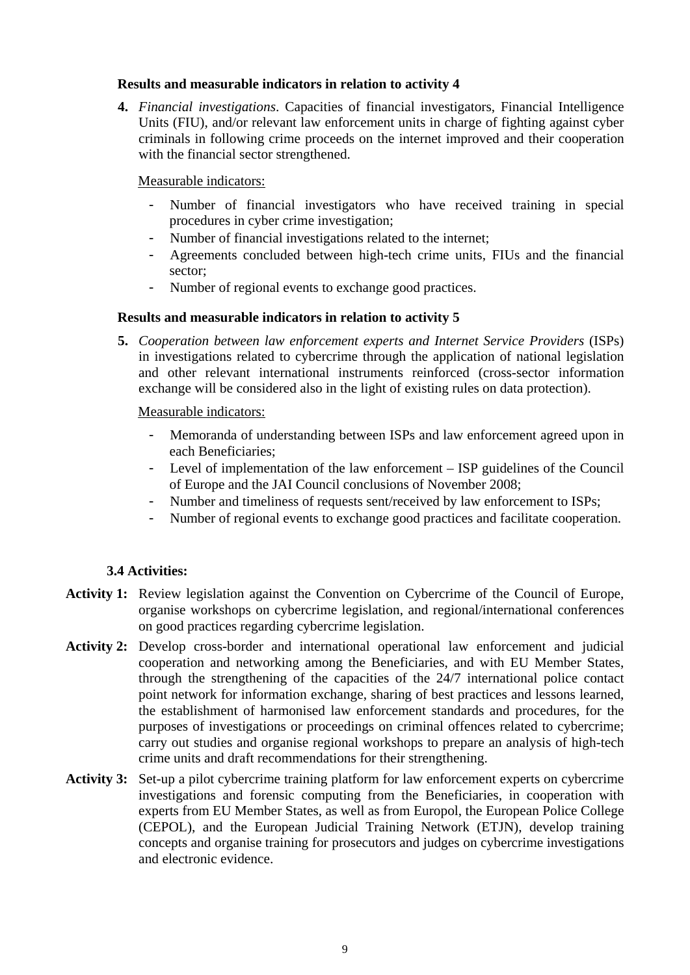## **Results and measurable indicators in relation to activity 4**

**4.** *Financial investigations*. Capacities of financial investigators, Financial Intelligence Units (FIU), and/or relevant law enforcement units in charge of fighting against cyber criminals in following crime proceeds on the internet improved and their cooperation with the financial sector strengthened.

## Measurable indicators:

- Number of financial investigators who have received training in special procedures in cyber crime investigation;
- Number of financial investigations related to the internet;
- Agreements concluded between high-tech crime units, FIUs and the financial sector;
- Number of regional events to exchange good practices.

## **Results and measurable indicators in relation to activity 5**

**5.** *Cooperation between law enforcement experts and Internet Service Providers* (ISPs) in investigations related to cybercrime through the application of national legislation and other relevant international instruments reinforced (cross-sector information exchange will be considered also in the light of existing rules on data protection).

## Measurable indicators:

- Memoranda of understanding between ISPs and law enforcement agreed upon in each Beneficiaries;
- Level of implementation of the law enforcement ISP guidelines of the Council of Europe and the JAI Council conclusions of November 2008;
- Number and timeliness of requests sent/received by law enforcement to ISPs;
- Number of regional events to exchange good practices and facilitate cooperation.

# **3.4 Activities:**

- **Activity 1:** Review legislation against the Convention on Cybercrime of the Council of Europe, organise workshops on cybercrime legislation, and regional/international conferences on good practices regarding cybercrime legislation.
- **Activity 2:** Develop cross-border and international operational law enforcement and judicial cooperation and networking among the Beneficiaries, and with EU Member States, through the strengthening of the capacities of the 24/7 international police contact point network for information exchange, sharing of best practices and lessons learned, the establishment of harmonised law enforcement standards and procedures, for the purposes of investigations or proceedings on criminal offences related to cybercrime; carry out studies and organise regional workshops to prepare an analysis of high-tech crime units and draft recommendations for their strengthening.
- **Activity 3:** Set-up a pilot cybercrime training platform for law enforcement experts on cybercrime investigations and forensic computing from the Beneficiaries, in cooperation with experts from EU Member States, as well as from Europol, the European Police College (CEPOL), and the European Judicial Training Network (ETJN), develop training concepts and organise training for prosecutors and judges on cybercrime investigations and electronic evidence.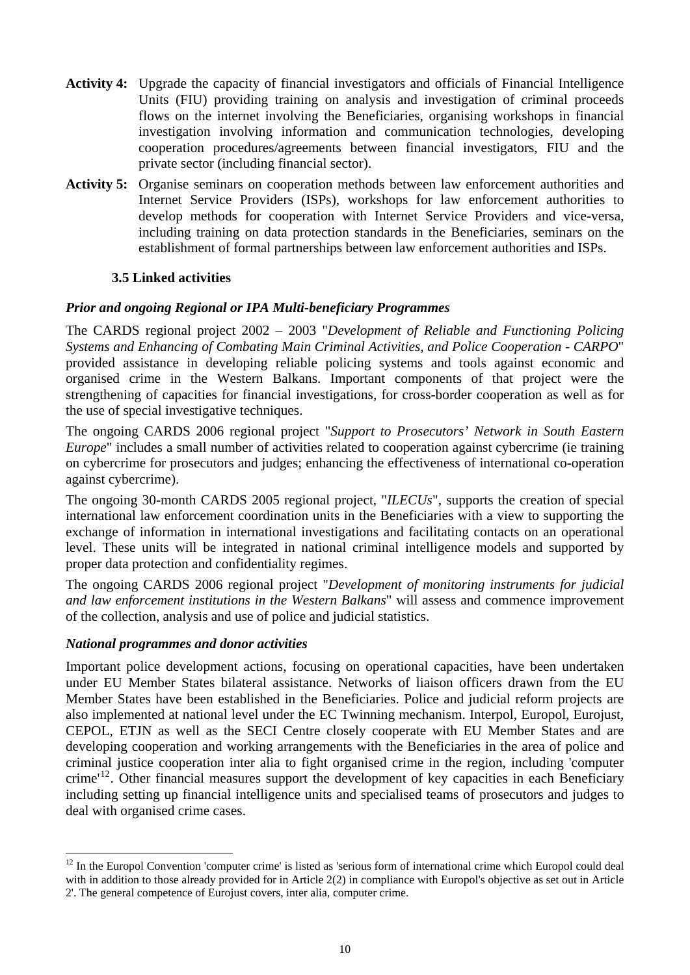- <span id="page-9-0"></span>**Activity 4:** Upgrade the capacity of financial investigators and officials of Financial Intelligence Units (FIU) providing training on analysis and investigation of criminal proceeds flows on the internet involving the Beneficiaries, organising workshops in financial investigation involving information and communication technologies, developing cooperation procedures/agreements between financial investigators, FIU and the private sector (including financial sector).
- **Activity 5:** Organise seminars on cooperation methods between law enforcement authorities and Internet Service Providers (ISPs), workshops for law enforcement authorities to develop methods for cooperation with Internet Service Providers and vice-versa, including training on data protection standards in the Beneficiaries, seminars on the establishment of formal partnerships between law enforcement authorities and ISPs.

## **3.5 Linked activities**

## *Prior and ongoing Regional or IPA Multi-beneficiary Programmes*

The CARDS regional project 2002 – 2003 "*Development of Reliable and Functioning Policing Systems and Enhancing of Combating Main Criminal Activities, and Police Cooperation - CARPO*" provided assistance in developing reliable policing systems and tools against economic and organised crime in the Western Balkans. Important components of that project were the strengthening of capacities for financial investigations, for cross-border cooperation as well as for the use of special investigative techniques.

The ongoing CARDS 2006 regional project "*Support to Prosecutors' Network in South Eastern Europe*" includes a small number of activities related to cooperation against cybercrime (ie training on cybercrime for prosecutors and judges; enhancing the effectiveness of international co-operation against cybercrime).

The ongoing 30-month CARDS 2005 regional project, "*ILECUs*", supports the creation of special international law enforcement coordination units in the Beneficiaries with a view to supporting the exchange of information in international investigations and facilitating contacts on an operational level. These units will be integrated in national criminal intelligence models and supported by proper data protection and confidentiality regimes.

The ongoing CARDS 2006 regional project "*Development of monitoring instruments for judicial and law enforcement institutions in the Western Balkans*" will assess and commence improvement of the collection, analysis and use of police and judicial statistics.

## *National programmes and donor activities*

 $\overline{a}$ 

Important police development actions, focusing on operational capacities, have been undertaken under EU Member States bilateral assistance. Networks of liaison officers drawn from the EU Member States have been established in the Beneficiaries. Police and judicial reform projects are also implemented at national level under the EC Twinning mechanism. Interpol, Europol, Eurojust, CEPOL, ETJN as well as the SECI Centre closely cooperate with EU Member States and are developing cooperation and working arrangements with the Beneficiaries in the area of police and criminal justice cooperation inter alia to fight organised crime in the region, including 'computer crime<sup> $12$ </sup>. Other financial measures support the development of key capacities in each Beneficiary including setting up financial intelligence units and specialised teams of prosecutors and judges to deal with organised crime cases.

<sup>&</sup>lt;sup>12</sup> In the Europol Convention 'computer crime' is listed as 'serious form of international crime which Europol could deal with in addition to those already provided for in Article 2(2) in compliance with Europol's objective as set out in Article 2'. The general competence of Eurojust covers, inter alia, computer crime.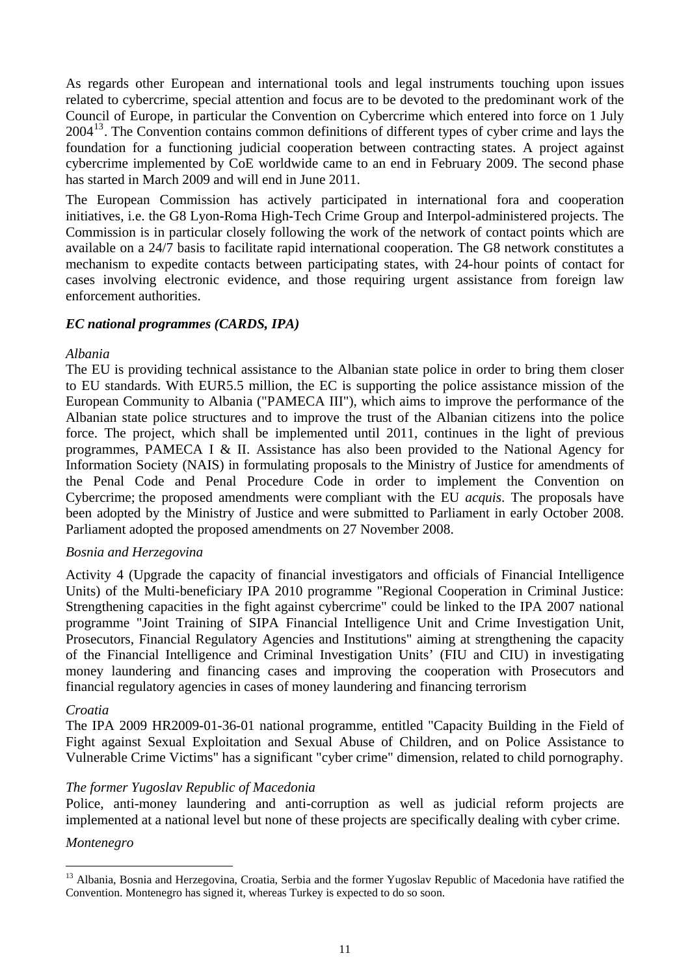<span id="page-10-0"></span>As regards other European and international tools and legal instruments touching upon issues related to cybercrime, special attention and focus are to be devoted to the predominant work of the Council of Europe, in particular the Convention on Cybercrime which entered into force on 1 July  $2004<sup>13</sup>$  $2004<sup>13</sup>$  $2004<sup>13</sup>$ . The Convention contains common definitions of different types of cyber crime and lays the foundation for a functioning judicial cooperation between contracting states. A project against cybercrime implemented by CoE worldwide came to an end in February 2009. The second phase has started in March 2009 and will end in June 2011.

The European Commission has actively participated in international fora and cooperation initiatives, i.e. the G8 Lyon-Roma High-Tech Crime Group and Interpol-administered projects. The Commission is in particular closely following the work of the network of contact points which are available on a 24/7 basis to facilitate rapid international cooperation. The G8 network constitutes a mechanism to expedite contacts between participating states, with 24-hour points of contact for cases involving electronic evidence, and those requiring urgent assistance from foreign law enforcement authorities.

## *EC national programmes (CARDS, IPA)*

## *Albania*

The EU is providing technical assistance to the Albanian state police in order to bring them closer to EU standards. With EUR5.5 million, the EC is supporting the police assistance mission of the European Community to Albania ("PAMECA III"), which aims to improve the performance of the Albanian state police structures and to improve the trust of the Albanian citizens into the police force. The project, which shall be implemented until 2011, continues in the light of previous programmes, PAMECA I & II. Assistance has also been provided to the National Agency for Information Society (NAIS) in formulating proposals to the Ministry of Justice for amendments of the Penal Code and Penal Procedure Code in order to implement the Convention on Cybercrime; the proposed amendments were compliant with the EU *acquis*. The proposals have been adopted by the Ministry of Justice and were submitted to Parliament in early October 2008. Parliament adopted the proposed amendments on 27 November 2008.

## *Bosnia and Herzegovina*

Activity 4 (Upgrade the capacity of financial investigators and officials of Financial Intelligence Units) of the Multi-beneficiary IPA 2010 programme "Regional Cooperation in Criminal Justice: Strengthening capacities in the fight against cybercrime" could be linked to the IPA 2007 national programme "Joint Training of SIPA Financial Intelligence Unit and Crime Investigation Unit, Prosecutors, Financial Regulatory Agencies and Institutions" aiming at strengthening the capacity of the Financial Intelligence and Criminal Investigation Units' (FIU and CIU) in investigating money laundering and financing cases and improving the cooperation with Prosecutors and financial regulatory agencies in cases of money laundering and financing terrorism

## *Croatia*

The IPA 2009 HR2009-01-36-01 national programme, entitled "Capacity Building in the Field of Fight against Sexual Exploitation and Sexual Abuse of Children, and on Police Assistance to Vulnerable Crime Victims" has a significant "cyber crime" dimension, related to child pornography.

## *The former Yugoslav Republic of Macedonia*

Police, anti-money laundering and anti-corruption as well as judicial reform projects are implemented at a national level but none of these projects are specifically dealing with cyber crime.

## *Montenegro*

<sup>&</sup>lt;sup>13</sup> Albania, Bosnia and Herzegovina, Croatia, Serbia and the former Yugoslav Republic of Macedonia have ratified the Convention. Montenegro has signed it, whereas Turkey is expected to do so soon.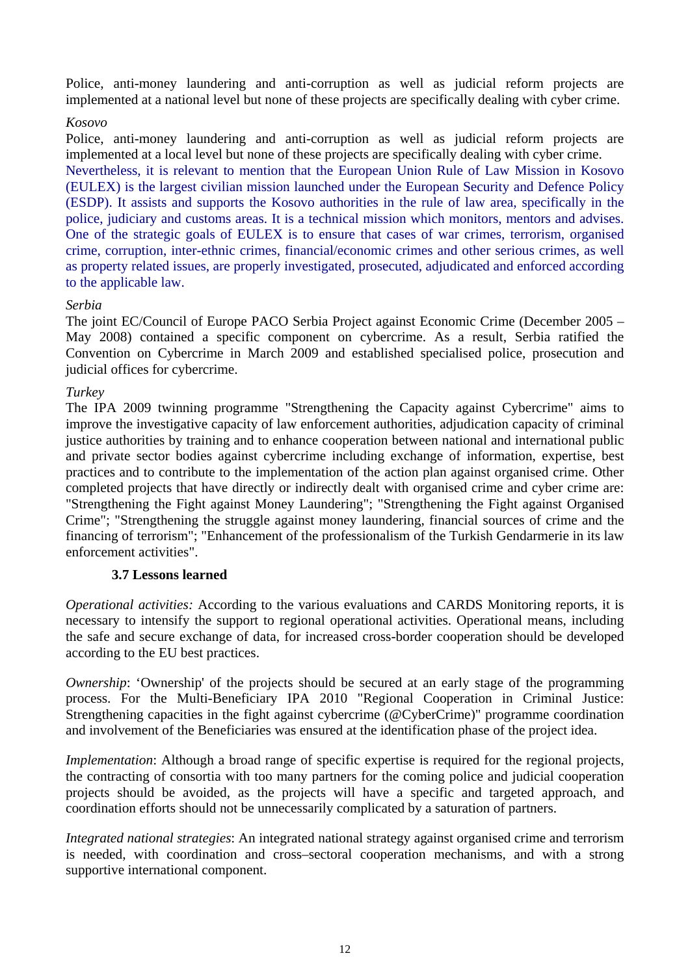Police, anti-money laundering and anti-corruption as well as judicial reform projects are implemented at a national level but none of these projects are specifically dealing with cyber crime.

## *Kosovo*

Police, anti-money laundering and anti-corruption as well as judicial reform projects are implemented at a local level but none of these projects are specifically dealing with cyber crime. Nevertheless, it is relevant to mention that the European Union Rule of Law Mission in Kosovo (EULEX) is the largest civilian mission launched under the European Security and Defence Policy (ESDP). It assists and supports the Kosovo authorities in the rule of law area, specifically in the police, judiciary and customs areas. It is a technical mission which monitors, mentors and advises. One of the strategic goals of EULEX is to ensure that cases of war crimes, terrorism, organised crime, corruption, inter-ethnic crimes, financial/economic crimes and other serious crimes, as well as property related issues, are properly investigated, prosecuted, adjudicated and enforced according to the applicable law.

# *Serbia*

The joint EC/Council of Europe PACO Serbia Project against Economic Crime (December 2005 – May 2008) contained a specific component on cybercrime. As a result, Serbia ratified the Convention on Cybercrime in March 2009 and established specialised police, prosecution and judicial offices for cybercrime.

## *Turkey*

The IPA 2009 twinning programme "Strengthening the Capacity against Cybercrime" aims to improve the investigative capacity of law enforcement authorities, adjudication capacity of criminal justice authorities by training and to enhance cooperation between national and international public and private sector bodies against cybercrime including exchange of information, expertise, best practices and to contribute to the implementation of the action plan against organised crime. Other completed projects that have directly or indirectly dealt with organised crime and cyber crime are: "Strengthening the Fight against Money Laundering"; "Strengthening the Fight against Organised Crime"; "Strengthening the struggle against money laundering, financial sources of crime and the financing of terrorism"; "Enhancement of the professionalism of the Turkish Gendarmerie in its law enforcement activities".

# **3.7 Lessons learned**

*Operational activities:* According to the various evaluations and CARDS Monitoring reports, it is necessary to intensify the support to regional operational activities. Operational means, including the safe and secure exchange of data, for increased cross-border cooperation should be developed according to the EU best practices.

*Ownership*: 'Ownership' of the projects should be secured at an early stage of the programming process. For the Multi-Beneficiary IPA 2010 "Regional Cooperation in Criminal Justice: Strengthening capacities in the fight against cybercrime (@CyberCrime)" programme coordination and involvement of the Beneficiaries was ensured at the identification phase of the project idea.

*Implementation*: Although a broad range of specific expertise is required for the regional projects, the contracting of consortia with too many partners for the coming police and judicial cooperation projects should be avoided, as the projects will have a specific and targeted approach, and coordination efforts should not be unnecessarily complicated by a saturation of partners.

*Integrated national strategies*: An integrated national strategy against organised crime and terrorism is needed, with coordination and cross–sectoral cooperation mechanisms, and with a strong supportive international component.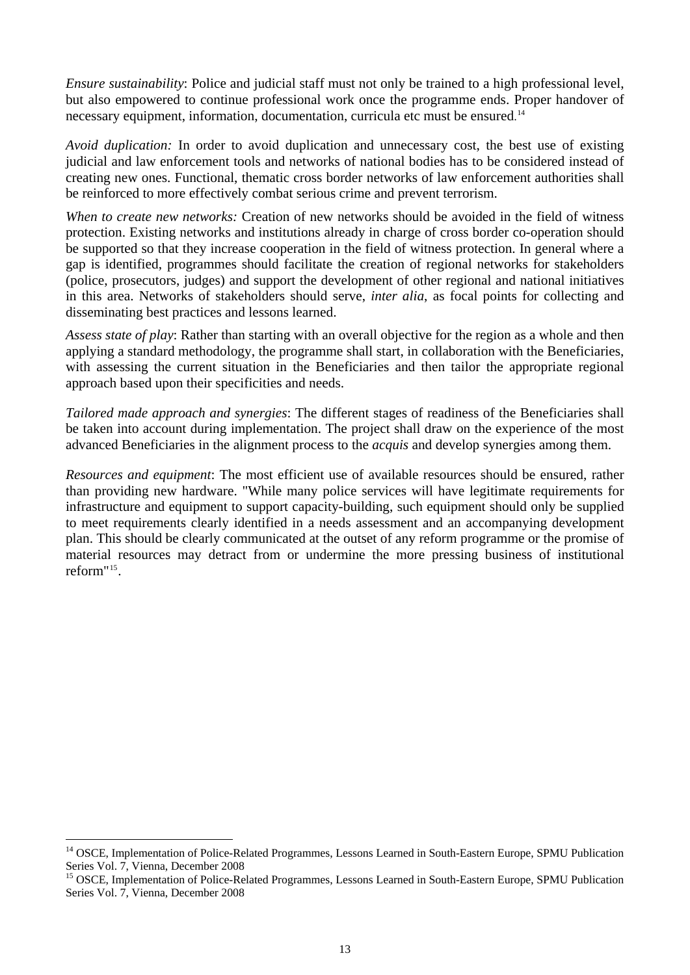<span id="page-12-0"></span>*Ensure sustainability*: Police and judicial staff must not only be trained to a high professional level, but also empowered to continue professional work once the programme ends. Proper handover of necessary equipment, information, documentation, curricula etc must be ensured. [14](#page-12-0)

*Avoid duplication:* In order to avoid duplication and unnecessary cost, the best use of existing judicial and law enforcement tools and networks of national bodies has to be considered instead of creating new ones. Functional, thematic cross border networks of law enforcement authorities shall be reinforced to more effectively combat serious crime and prevent terrorism.

*When to create new networks:* Creation of new networks should be avoided in the field of witness protection. Existing networks and institutions already in charge of cross border co-operation should be supported so that they increase cooperation in the field of witness protection. In general where a gap is identified, programmes should facilitate the creation of regional networks for stakeholders (police, prosecutors, judges) and support the development of other regional and national initiatives in this area. Networks of stakeholders should serve, *inter alia*, as focal points for collecting and disseminating best practices and lessons learned.

*Assess state of play*: Rather than starting with an overall objective for the region as a whole and then applying a standard methodology, the programme shall start, in collaboration with the Beneficiaries, with assessing the current situation in the Beneficiaries and then tailor the appropriate regional approach based upon their specificities and needs.

*Tailored made approach and synergies*: The different stages of readiness of the Beneficiaries shall be taken into account during implementation. The project shall draw on the experience of the most advanced Beneficiaries in the alignment process to the *acquis* and develop synergies among them.

*Resources and equipment*: The most efficient use of available resources should be ensured, rather than providing new hardware. "While many police services will have legitimate requirements for infrastructure and equipment to support capacity-building, such equipment should only be supplied to meet requirements clearly identified in a needs assessment and an accompanying development plan. This should be clearly communicated at the outset of any reform programme or the promise of material resources may detract from or undermine the more pressing business of institutional reform"[15](#page-12-0).

<sup>&</sup>lt;sup>14</sup> OSCE, Implementation of Police-Related Programmes, Lessons Learned in South-Eastern Europe, SPMU Publication Series Vol. 7, Vienna, December 2008

<sup>&</sup>lt;sup>15</sup> OSCE, Implementation of Police-Related Programmes, Lessons Learned in South-Eastern Europe, SPMU Publication Series Vol. 7, Vienna, December 2008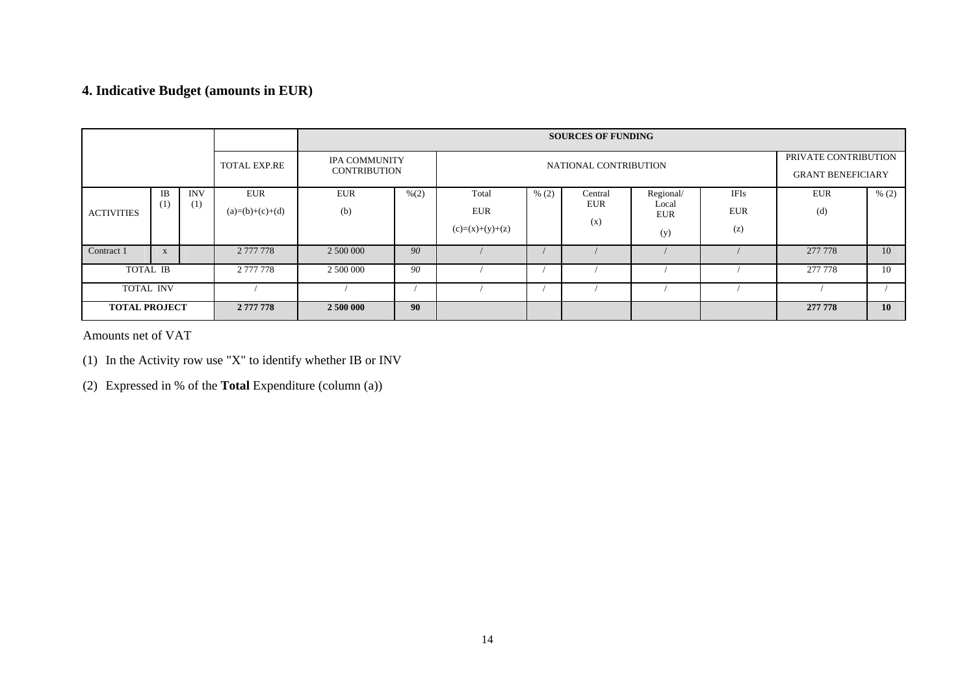# **4. Indicative Budget (amounts in EUR)**

|                      |                  |                   |                                 | <b>SOURCES OF FUNDING</b> |                                                                      |                                          |       |                              |                                                  |                           |                   |                 |
|----------------------|------------------|-------------------|---------------------------------|---------------------------|----------------------------------------------------------------------|------------------------------------------|-------|------------------------------|--------------------------------------------------|---------------------------|-------------------|-----------------|
|                      |                  |                   | <b>TOTAL EXP.RE</b>             |                           | <b>IPA COMMUNITY</b><br>NATIONAL CONTRIBUTION<br><b>CONTRIBUTION</b> |                                          |       |                              | PRIVATE CONTRIBUTION<br><b>GRANT BENEFICIARY</b> |                           |                   |                 |
| <b>ACTIVITIES</b>    | <b>IB</b><br>(1) | <b>INV</b><br>(1) | <b>EUR</b><br>$(a)=(b)+(c)+(d)$ | <b>EUR</b><br>(b)         | % (2)                                                                | Total<br><b>EUR</b><br>$(c)=(x)+(y)+(z)$ | % (2) | Central<br><b>EUR</b><br>(x) | Regional/<br>Local<br><b>EUR</b><br>(y)          | IFIs<br><b>EUR</b><br>(z) | <b>EUR</b><br>(d) | % (2)           |
| Contract 1           | X                |                   | 2 777 778                       | 2 500 000                 | 90                                                                   |                                          |       |                              |                                                  |                           | 277 778           | 10              |
| TOTAL IB             |                  |                   | 2 777 778                       | 2 500 000                 | 90                                                                   |                                          |       |                              |                                                  |                           | 277 778           | 10              |
| <b>TOTAL INV</b>     |                  |                   |                                 |                           |                                                                      |                                          |       |                              |                                                  |                           |                   |                 |
| <b>TOTAL PROJECT</b> |                  |                   | 2 777 778                       | 2 500 000                 | 90                                                                   |                                          |       |                              |                                                  |                           | 277 778           | 10 <sup>1</sup> |

Amounts net of VAT

(1) In the Activity row use "X" to identify whether IB or INV

(2) Expressed in % of the **Total** Expenditure (column (a))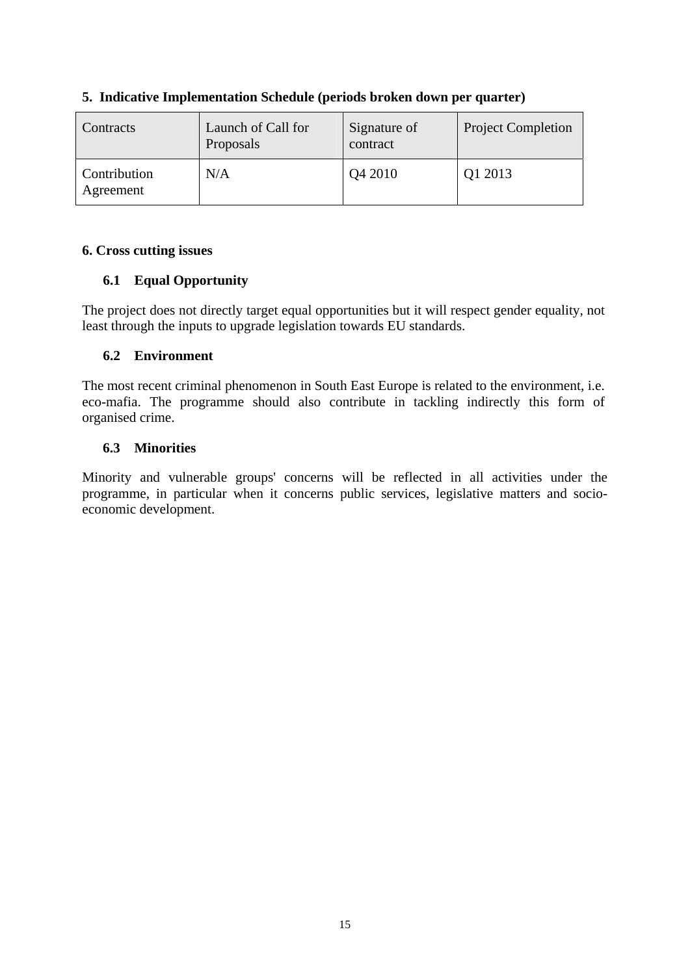| <b>Contracts</b>                 | Launch of Call for<br>Proposals | Signature of<br>contract | <b>Project Completion</b> |
|----------------------------------|---------------------------------|--------------------------|---------------------------|
| <b>Contribution</b><br>Agreement | N/A                             | Q4 2010                  | Q1 2013                   |

# **5. Indicative Implementation Schedule (periods broken down per quarter)**

# **6. Cross cutting issues**

# **6.1 Equal Opportunity**

The project does not directly target equal opportunities but it will respect gender equality, not least through the inputs to upgrade legislation towards EU standards.

# **6.2 Environment**

The most recent criminal phenomenon in South East Europe is related to the environment, i.e. eco-mafia. The programme should also contribute in tackling indirectly this form of organised crime.

# **6.3 Minorities**

Minority and vulnerable groups' concerns will be reflected in all activities under the programme, in particular when it concerns public services, legislative matters and socioeconomic development.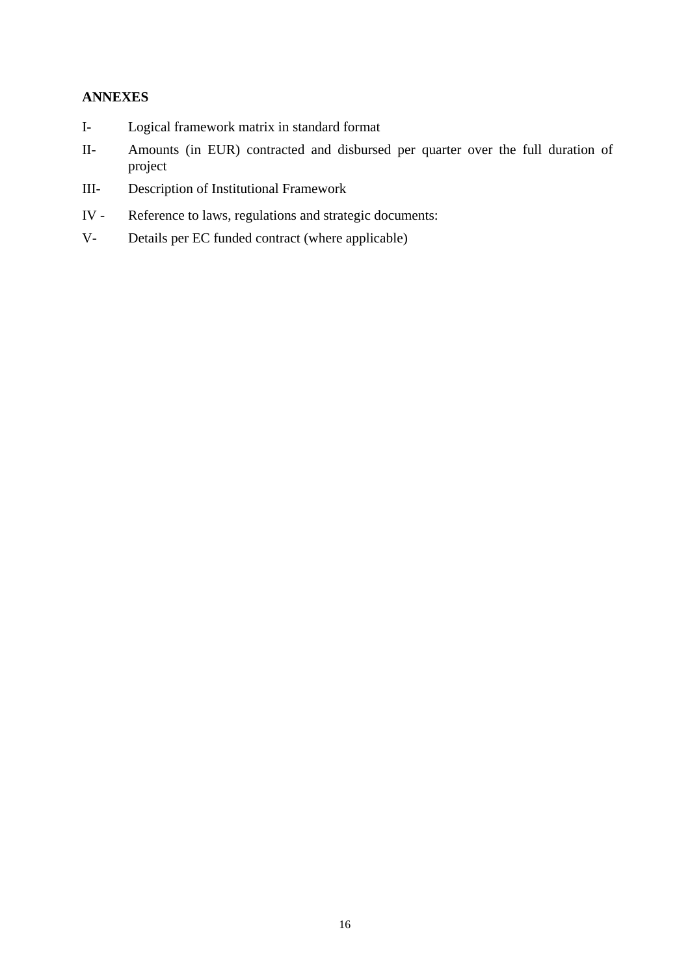# **ANNEXES**

- I- Logical framework matrix in standard format
- II- Amounts (in EUR) contracted and disbursed per quarter over the full duration of project
- III- Description of Institutional Framework
- IV Reference to laws, regulations and strategic documents:
- V- Details per EC funded contract (where applicable)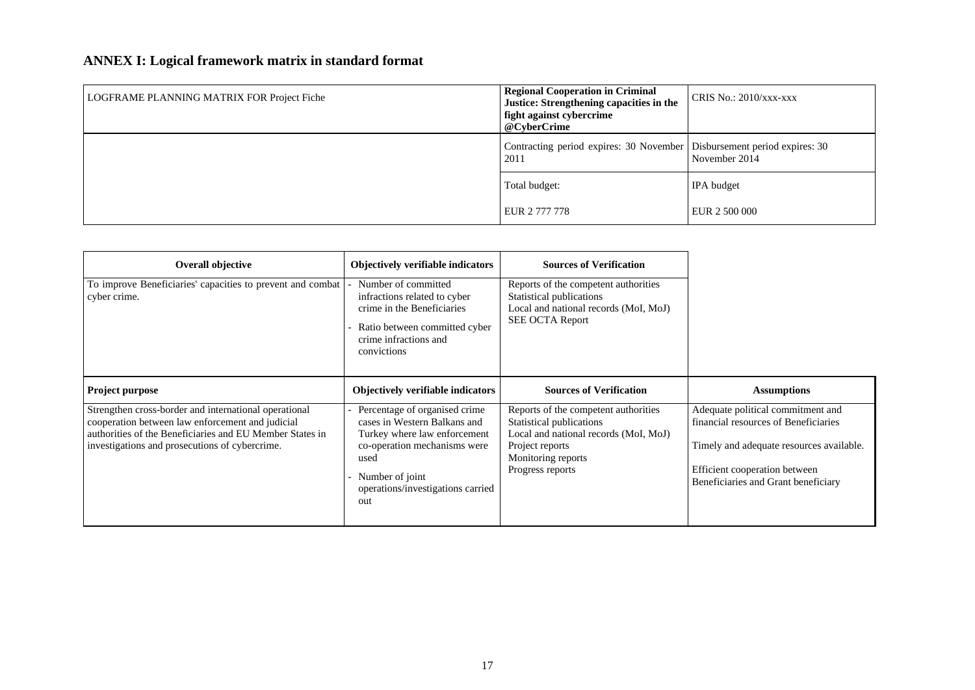# **ANNEX I: Logical framework matrix in standard format**

| LOGFRAME PLANNING MATRIX FOR Project Fiche | <b>Regional Cooperation in Criminal</b><br>Justice: Strengthening capacities in the<br>fight against cybercrime | CRIS No.: $2010/xxx$ -xxx |
|--------------------------------------------|-----------------------------------------------------------------------------------------------------------------|---------------------------|
|                                            | @CyberCrime                                                                                                     |                           |
|                                            | Contracting period expires: 30 November   Disbursement period expires: 30<br>2011                               | November 2014             |
|                                            | Total budget:                                                                                                   | <b>IPA</b> budget         |
|                                            | EUR 2 777 778                                                                                                   | EUR 2 500 000             |

| <b>Overall objective</b>                                                                                                                                                                                                | Objectively verifiable indicators                                                                                                                                                                       | <b>Sources of Verification</b>                                                                                                                                         |                                                                                                                                                                                               |
|-------------------------------------------------------------------------------------------------------------------------------------------------------------------------------------------------------------------------|---------------------------------------------------------------------------------------------------------------------------------------------------------------------------------------------------------|------------------------------------------------------------------------------------------------------------------------------------------------------------------------|-----------------------------------------------------------------------------------------------------------------------------------------------------------------------------------------------|
| To improve Beneficiaries' capacities to prevent and combat<br>cyber crime.                                                                                                                                              | Number of committed<br>infractions related to cyber<br>crime in the Beneficiaries<br>Ratio between committed cyber<br>crime infractions and<br>convictions                                              | Reports of the competent authorities<br>Statistical publications<br>Local and national records (MoI, MoJ)<br><b>SEE OCTA Report</b>                                    |                                                                                                                                                                                               |
| <b>Project purpose</b>                                                                                                                                                                                                  | <b>Objectively verifiable indicators</b>                                                                                                                                                                | <b>Sources of Verification</b>                                                                                                                                         | <b>Assumptions</b>                                                                                                                                                                            |
| Strengthen cross-border and international operational<br>cooperation between law enforcement and judicial<br>authorities of the Beneficiaries and EU Member States in<br>investigations and prosecutions of cybercrime. | Percentage of organised crime.<br>cases in Western Balkans and<br>Turkey where law enforcement<br>co-operation mechanisms were<br>used<br>- Number of joint<br>operations/investigations carried<br>out | Reports of the competent authorities<br>Statistical publications<br>Local and national records (MoI, MoJ)<br>Project reports<br>Monitoring reports<br>Progress reports | Adequate political commitment and<br>financial resources of Beneficiaries<br>Timely and adequate resources available.<br>Efficient cooperation between<br>Beneficiaries and Grant beneficiary |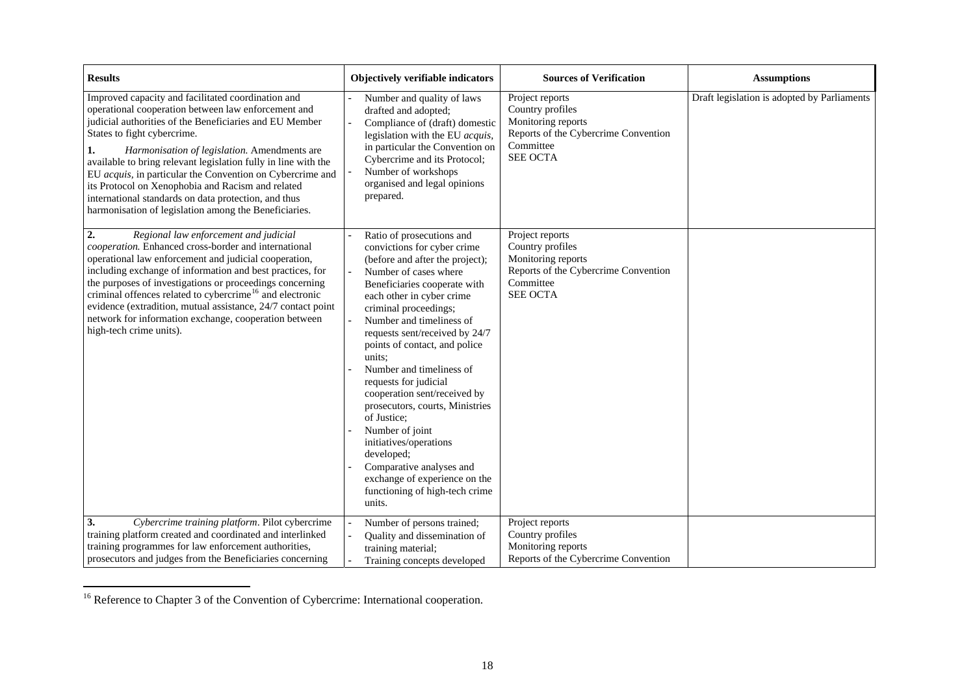| <b>Results</b>                                                                                                                                                                                                                                                                                                                                                                                                                                                                                                                                                 | Objectively verifiable indicators                                                                                                                                                                                                                                                                                                                                                                                                                                                                                                                                                                                              | <b>Sources of Verification</b>                                                                                                    | <b>Assumptions</b>                          |
|----------------------------------------------------------------------------------------------------------------------------------------------------------------------------------------------------------------------------------------------------------------------------------------------------------------------------------------------------------------------------------------------------------------------------------------------------------------------------------------------------------------------------------------------------------------|--------------------------------------------------------------------------------------------------------------------------------------------------------------------------------------------------------------------------------------------------------------------------------------------------------------------------------------------------------------------------------------------------------------------------------------------------------------------------------------------------------------------------------------------------------------------------------------------------------------------------------|-----------------------------------------------------------------------------------------------------------------------------------|---------------------------------------------|
| Improved capacity and facilitated coordination and<br>operational cooperation between law enforcement and<br>judicial authorities of the Beneficiaries and EU Member<br>States to fight cybercrime.<br>Harmonisation of legislation. Amendments are<br>1.<br>available to bring relevant legislation fully in line with the<br>EU acquis, in particular the Convention on Cybercrime and<br>its Protocol on Xenophobia and Racism and related<br>international standards on data protection, and thus<br>harmonisation of legislation among the Beneficiaries. | Number and quality of laws<br>drafted and adopted;<br>Compliance of (draft) domestic<br>legislation with the EU acquis,<br>in particular the Convention on<br>Cybercrime and its Protocol;<br>Number of workshops<br>organised and legal opinions<br>prepared.                                                                                                                                                                                                                                                                                                                                                                 | Project reports<br>Country profiles<br>Monitoring reports<br>Reports of the Cybercrime Convention<br>Committee<br><b>SEE OCTA</b> | Draft legislation is adopted by Parliaments |
| 2.<br>Regional law enforcement and judicial<br>cooperation. Enhanced cross-border and international<br>operational law enforcement and judicial cooperation,<br>including exchange of information and best practices, for<br>the purposes of investigations or proceedings concerning<br>criminal offences related to cybercrime <sup>16</sup> and electronic<br>evidence (extradition, mutual assistance, 24/7 contact point<br>network for information exchange, cooperation between<br>high-tech crime units).                                              | Ratio of prosecutions and<br>convictions for cyber crime<br>(before and after the project);<br>Number of cases where<br>Beneficiaries cooperate with<br>each other in cyber crime<br>criminal proceedings;<br>Number and timeliness of<br>requests sent/received by 24/7<br>points of contact, and police<br>units:<br>Number and timeliness of<br>requests for judicial<br>cooperation sent/received by<br>prosecutors, courts, Ministries<br>of Justice:<br>Number of joint<br>initiatives/operations<br>developed;<br>Comparative analyses and<br>exchange of experience on the<br>functioning of high-tech crime<br>units. | Project reports<br>Country profiles<br>Monitoring reports<br>Reports of the Cybercrime Convention<br>Committee<br><b>SEE OCTA</b> |                                             |
| Cybercrime training platform. Pilot cybercrime<br>3.<br>training platform created and coordinated and interlinked<br>training programmes for law enforcement authorities,<br>prosecutors and judges from the Beneficiaries concerning                                                                                                                                                                                                                                                                                                                          | Number of persons trained;<br>Quality and dissemination of<br>training material;<br>Training concepts developed                                                                                                                                                                                                                                                                                                                                                                                                                                                                                                                | Project reports<br>Country profiles<br>Monitoring reports<br>Reports of the Cybercrime Convention                                 |                                             |

<span id="page-17-0"></span><sup>&</sup>lt;sup>16</sup> Reference to Chapter 3 of the Convention of Cybercrime: International cooperation.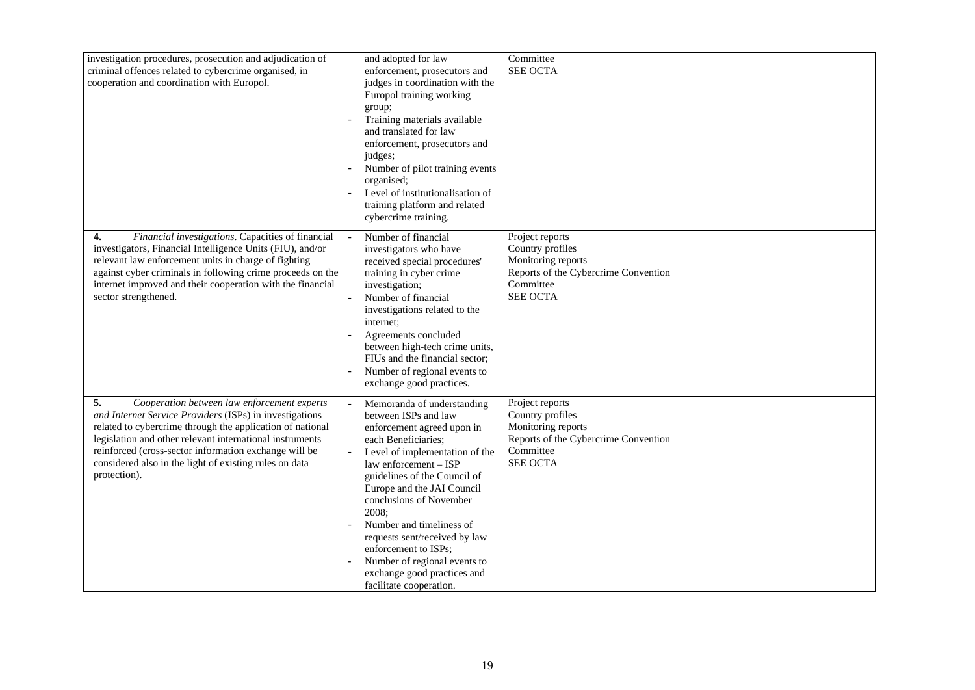| investigation procedures, prosecution and adjudication of<br>criminal offences related to cybercrime organised, in<br>cooperation and coordination with Europol.                                                                                                                                                                                                         | and adopted for law<br>enforcement, prosecutors and<br>judges in coordination with the<br>Europol training working<br>group;<br>Training materials available<br>and translated for law<br>enforcement, prosecutors and<br>judges;<br>Number of pilot training events<br>organised;<br>Level of institutionalisation of<br>training platform and related<br>cybercrime training.                                                                     | Committee<br><b>SEE OCTA</b>                                                                                                      |  |
|--------------------------------------------------------------------------------------------------------------------------------------------------------------------------------------------------------------------------------------------------------------------------------------------------------------------------------------------------------------------------|-----------------------------------------------------------------------------------------------------------------------------------------------------------------------------------------------------------------------------------------------------------------------------------------------------------------------------------------------------------------------------------------------------------------------------------------------------|-----------------------------------------------------------------------------------------------------------------------------------|--|
| Financial investigations. Capacities of financial<br>4.<br>investigators, Financial Intelligence Units (FIU), and/or<br>relevant law enforcement units in charge of fighting<br>against cyber criminals in following crime proceeds on the<br>internet improved and their cooperation with the financial<br>sector strengthened.                                         | Number of financial<br>investigators who have<br>received special procedures'<br>training in cyber crime<br>investigation;<br>Number of financial<br>investigations related to the<br>internet;<br>Agreements concluded<br>between high-tech crime units,<br>FIUs and the financial sector;<br>Number of regional events to<br>exchange good practices.                                                                                             | Project reports<br>Country profiles<br>Monitoring reports<br>Reports of the Cybercrime Convention<br>Committee<br><b>SEE OCTA</b> |  |
| Cooperation between law enforcement experts<br>5.<br>and Internet Service Providers (ISPs) in investigations<br>related to cybercrime through the application of national<br>legislation and other relevant international instruments<br>reinforced (cross-sector information exchange will be<br>considered also in the light of existing rules on data<br>protection). | Memoranda of understanding<br>between ISPs and law<br>enforcement agreed upon in<br>each Beneficiaries;<br>Level of implementation of the<br>law enforcement – ISP<br>guidelines of the Council of<br>Europe and the JAI Council<br>conclusions of November<br>2008;<br>Number and timeliness of<br>requests sent/received by law<br>enforcement to ISPs;<br>Number of regional events to<br>exchange good practices and<br>facilitate cooperation. | Project reports<br>Country profiles<br>Monitoring reports<br>Reports of the Cybercrime Convention<br>Committee<br><b>SEE OCTA</b> |  |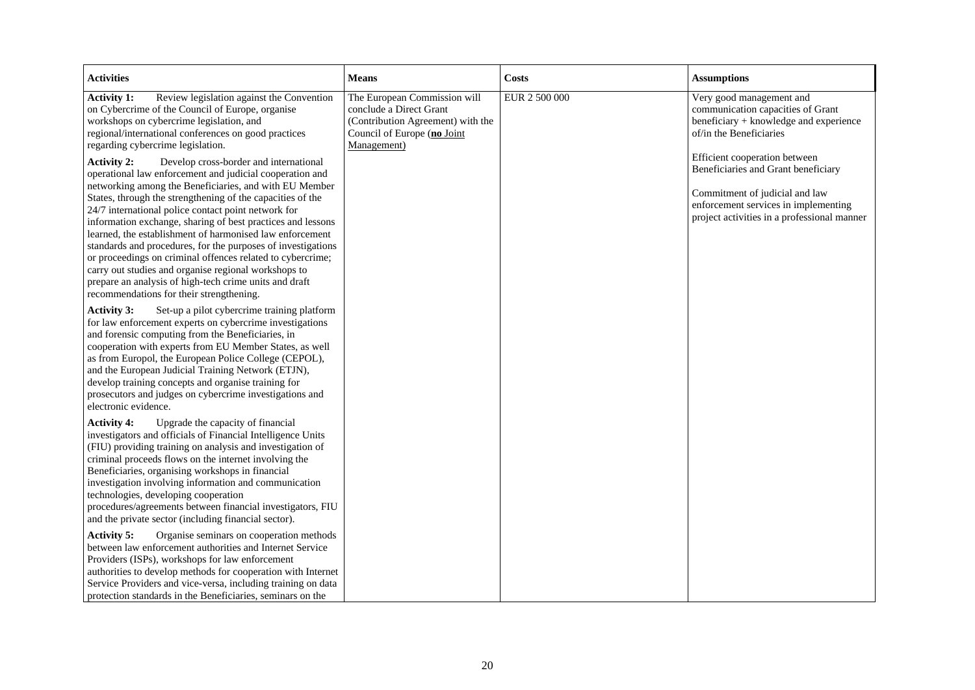| <b>Activities</b>                                                                                                                                                                                                                                                                                                                                                                                                                                                                                                                                                                                                                                                                                                                                                                                                                                                                                                                                                                              | <b>Means</b>                                                                                                                               | <b>Costs</b>  | <b>Assumptions</b>                                                                                                                                                                                                                                                                                                                  |
|------------------------------------------------------------------------------------------------------------------------------------------------------------------------------------------------------------------------------------------------------------------------------------------------------------------------------------------------------------------------------------------------------------------------------------------------------------------------------------------------------------------------------------------------------------------------------------------------------------------------------------------------------------------------------------------------------------------------------------------------------------------------------------------------------------------------------------------------------------------------------------------------------------------------------------------------------------------------------------------------|--------------------------------------------------------------------------------------------------------------------------------------------|---------------|-------------------------------------------------------------------------------------------------------------------------------------------------------------------------------------------------------------------------------------------------------------------------------------------------------------------------------------|
| <b>Activity 1:</b><br>Review legislation against the Convention<br>on Cybercrime of the Council of Europe, organise<br>workshops on cybercrime legislation, and<br>regional/international conferences on good practices<br>regarding cybercrime legislation.<br>Develop cross-border and international<br><b>Activity 2:</b><br>operational law enforcement and judicial cooperation and<br>networking among the Beneficiaries, and with EU Member<br>States, through the strengthening of the capacities of the<br>24/7 international police contact point network for<br>information exchange, sharing of best practices and lessons<br>learned, the establishment of harmonised law enforcement<br>standards and procedures, for the purposes of investigations<br>or proceedings on criminal offences related to cybercrime;<br>carry out studies and organise regional workshops to<br>prepare an analysis of high-tech crime units and draft<br>recommendations for their strengthening. | The European Commission will<br>conclude a Direct Grant<br>(Contribution Agreement) with the<br>Council of Europe (no Joint<br>Management) | EUR 2 500 000 | Very good management and<br>communication capacities of Grant<br>beneficiary + knowledge and experience<br>of/in the Beneficiaries<br>Efficient cooperation between<br>Beneficiaries and Grant beneficiary<br>Commitment of judicial and law<br>enforcement services in implementing<br>project activities in a professional manner |
| Set-up a pilot cybercrime training platform<br><b>Activity 3:</b><br>for law enforcement experts on cybercrime investigations<br>and forensic computing from the Beneficiaries, in<br>cooperation with experts from EU Member States, as well<br>as from Europol, the European Police College (CEPOL),<br>and the European Judicial Training Network (ETJN),<br>develop training concepts and organise training for<br>prosecutors and judges on cybercrime investigations and<br>electronic evidence.                                                                                                                                                                                                                                                                                                                                                                                                                                                                                         |                                                                                                                                            |               |                                                                                                                                                                                                                                                                                                                                     |
| Upgrade the capacity of financial<br><b>Activity 4:</b><br>investigators and officials of Financial Intelligence Units<br>(FIU) providing training on analysis and investigation of<br>criminal proceeds flows on the internet involving the<br>Beneficiaries, organising workshops in financial<br>investigation involving information and communication<br>technologies, developing cooperation<br>procedures/agreements between financial investigators, FIU<br>and the private sector (including financial sector).                                                                                                                                                                                                                                                                                                                                                                                                                                                                        |                                                                                                                                            |               |                                                                                                                                                                                                                                                                                                                                     |
| Organise seminars on cooperation methods<br><b>Activity 5:</b><br>between law enforcement authorities and Internet Service<br>Providers (ISPs), workshops for law enforcement<br>authorities to develop methods for cooperation with Internet<br>Service Providers and vice-versa, including training on data<br>protection standards in the Beneficiaries, seminars on the                                                                                                                                                                                                                                                                                                                                                                                                                                                                                                                                                                                                                    |                                                                                                                                            |               |                                                                                                                                                                                                                                                                                                                                     |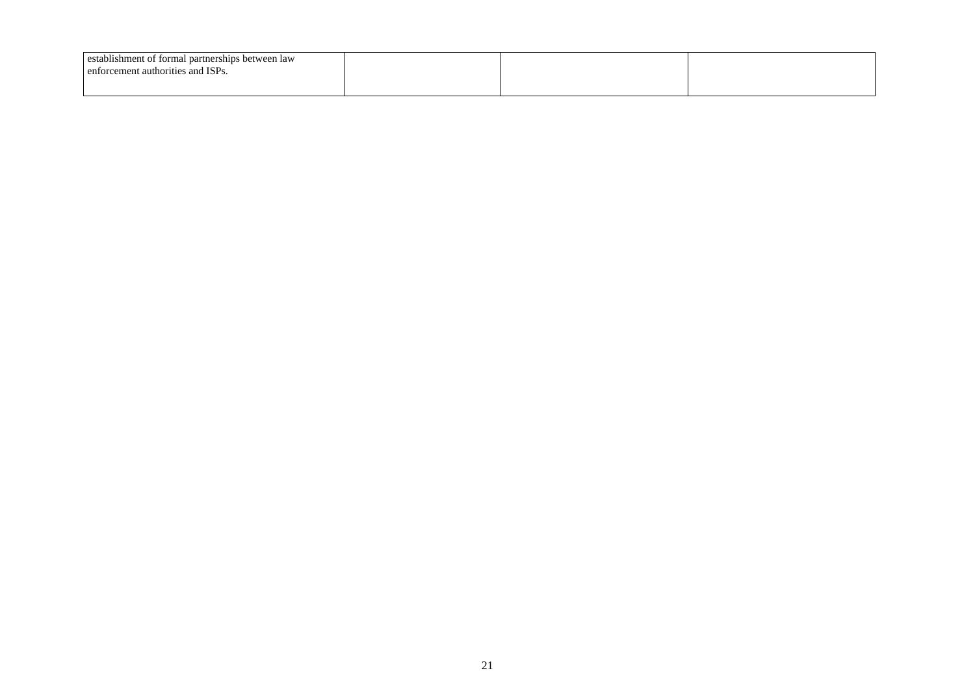| establishment of formal partnerships between law<br>enforcement authorities and ISPs. |  |  |
|---------------------------------------------------------------------------------------|--|--|
|                                                                                       |  |  |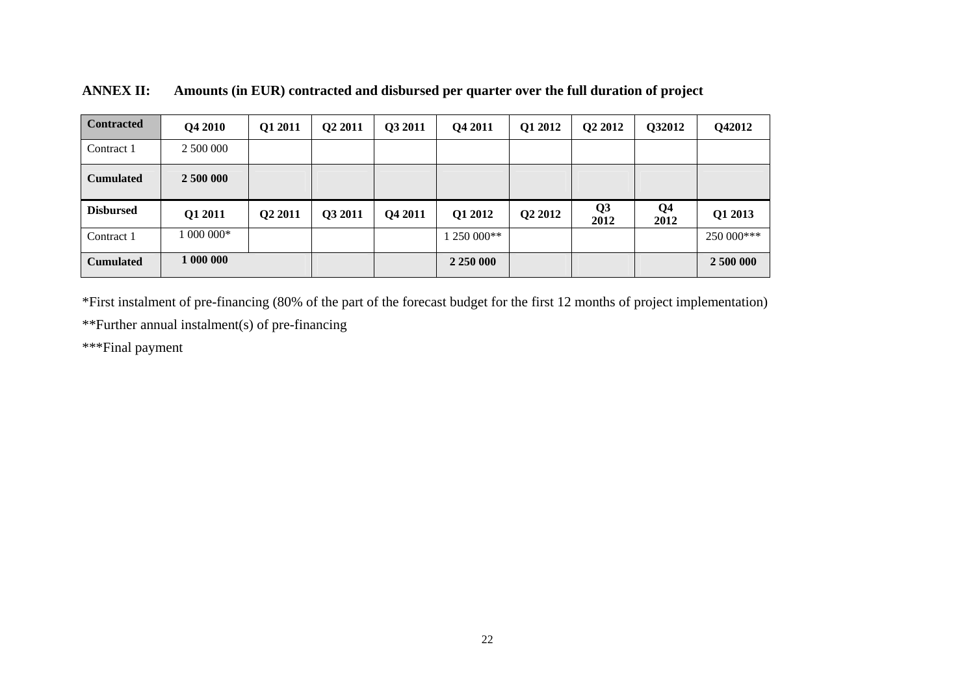| <b>Contracted</b> | Q4 2010   | Q1 2011             | Q <sub>2</sub> 2011 | Q3 2011 | Q4 2011     | Q1 2012 | Q <sub>2</sub> 2012 | Q32012                 | Q42012     |
|-------------------|-----------|---------------------|---------------------|---------|-------------|---------|---------------------|------------------------|------------|
| Contract 1        | 2 500 000 |                     |                     |         |             |         |                     |                        |            |
| <b>Cumulated</b>  | 2 500 000 |                     |                     |         |             |         |                     |                        |            |
| <b>Disbursed</b>  | Q1 2011   | Q <sub>2</sub> 2011 | Q3 2011             | Q4 2011 | Q1 2012     | Q2 2012 | Q3<br>2012          | Q <sub>4</sub><br>2012 | Q1 2013    |
|                   |           |                     |                     |         |             |         |                     |                        |            |
| Contract 1        | $000000*$ |                     |                     |         | $1250000**$ |         |                     |                        | 250 000*** |

**ANNEX II: Amounts (in EUR) contracted and disbursed per quarter over the full duration of project** 

\*First instalment of pre-financing (80% of the part of the forecast budget for the first 12 months of project implementation) \*\*Further annual instalment(s) of pre-financing

\*\*\*Final payment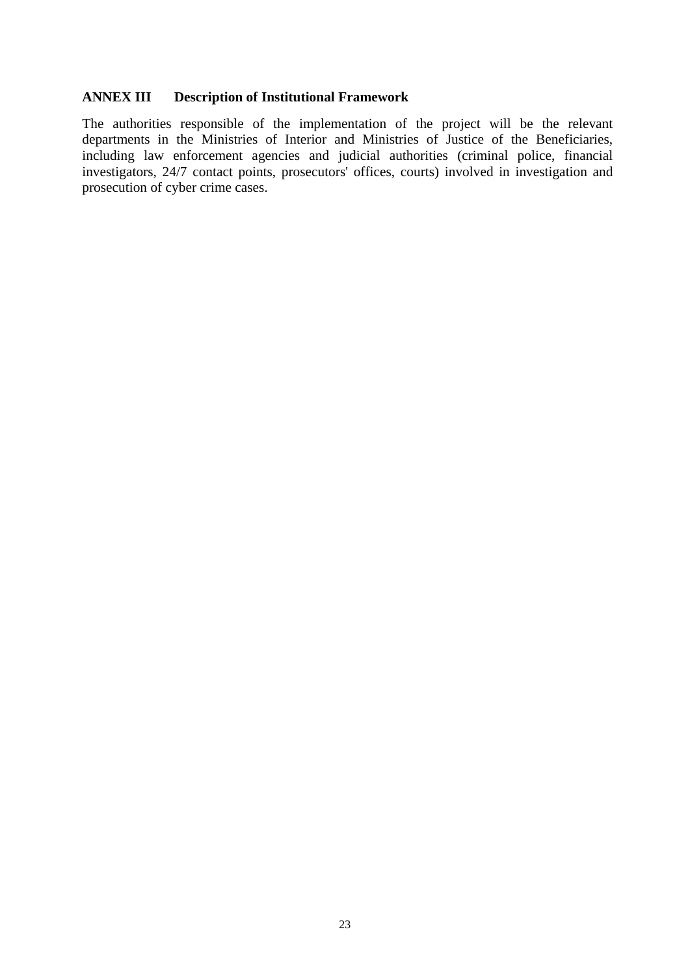## **ANNEX III Description of Institutional Framework**

The authorities responsible of the implementation of the project will be the relevant departments in the Ministries of Interior and Ministries of Justice of the Beneficiaries, including law enforcement agencies and judicial authorities (criminal police, financial investigators, 24/7 contact points, prosecutors' offices, courts) involved in investigation and prosecution of cyber crime cases.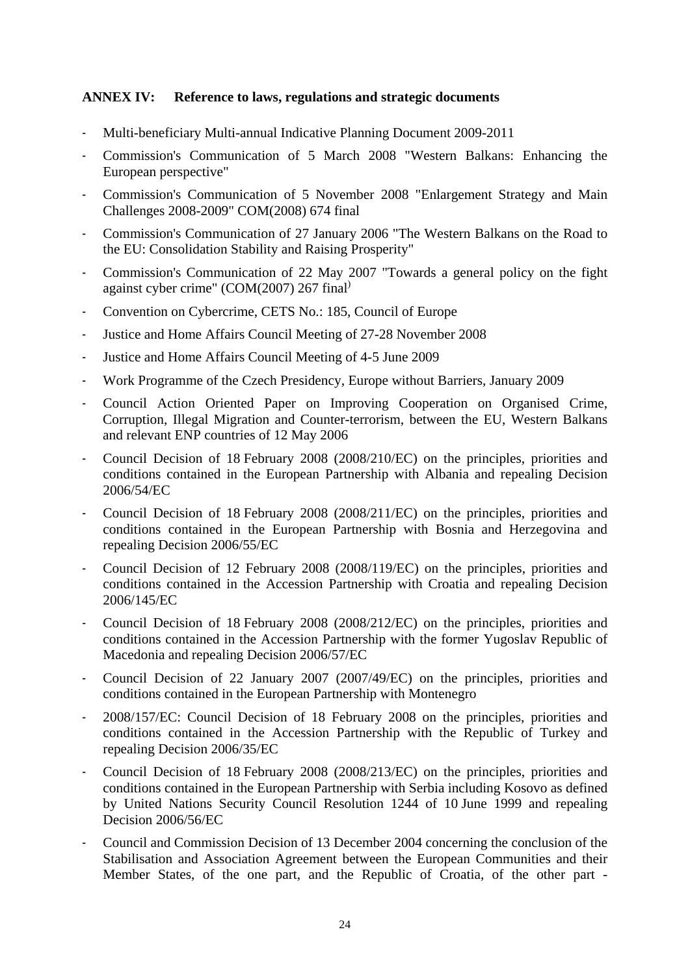## **ANNEX IV: Reference to laws, regulations and strategic documents**

- Multi-beneficiary Multi-annual Indicative Planning Document 2009-2011
- Commission's Communication of 5 March 2008 "Western Balkans: Enhancing the European perspective"
- Commission's Communication of 5 November 2008 "Enlargement Strategy and Main Challenges 2008-2009" COM(2008) 674 final
- Commission's Communication of 27 January 2006 "The Western Balkans on the Road to the EU: Consolidation Stability and Raising Prosperity"
- Commission's Communication of 22 May 2007 "Towards a general policy on the fight against cyber crime" (COM(2007) 267 final)
- Convention on Cybercrime, CETS No.: 185, Council of Europe
- Justice and Home Affairs Council Meeting of 27-28 November 2008
- Justice and Home Affairs Council Meeting of 4-5 June 2009
- Work Programme of the Czech Presidency, Europe without Barriers, January 2009
- Council Action Oriented Paper on Improving Cooperation on Organised Crime, Corruption, Illegal Migration and Counter-terrorism, between the EU, Western Balkans and relevant ENP countries of 12 May 2006
- Council Decision of 18 February 2008 (2008/210/EC) on the principles, priorities and conditions contained in the European Partnership with Albania and repealing Decision 2006/54/EC
- Council Decision of 18 February 2008 (2008/211/EC) on the principles, priorities and conditions contained in the European Partnership with Bosnia and Herzegovina and repealing Decision 2006/55/EC
- Council Decision of 12 February 2008 (2008/119/EC) on the principles, priorities and conditions contained in the Accession Partnership with Croatia and repealing Decision 2006/145/EC
- Council Decision of 18 February 2008 (2008/212/EC) on the principles, priorities and conditions contained in the Accession Partnership with the former Yugoslav Republic of Macedonia and repealing Decision 2006/57/EC
- Council Decision of 22 January 2007 (2007/49/EC) on the principles, priorities and conditions contained in the European Partnership with Montenegro
- 2008/157/EC: Council Decision of 18 February 2008 on the principles, priorities and conditions contained in the Accession Partnership with the Republic of Turkey and repealing Decision 2006/35/EC
- Council Decision of 18 February 2008 (2008/213/EC) on the principles, priorities and conditions contained in the European Partnership with Serbia including Kosovo as defined by United Nations Security Council Resolution 1244 of 10 June 1999 and repealing Decision 2006/56/EC
- Council and Commission Decision of 13 December 2004 concerning the conclusion of the Stabilisation and Association Agreement between the European Communities and their Member States, of the one part, and the Republic of Croatia, of the other part -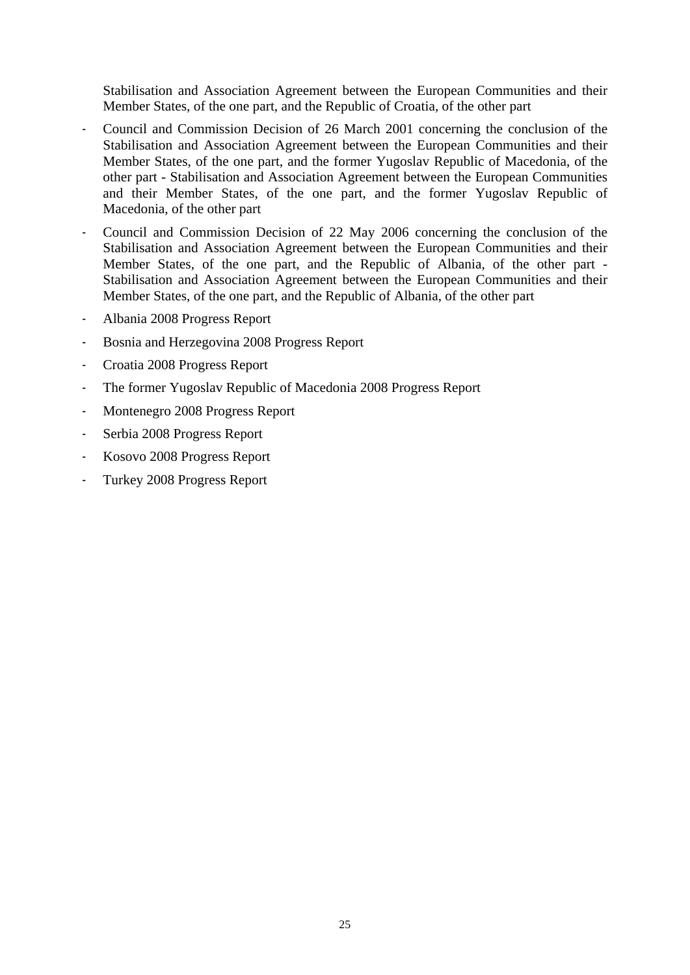Stabilisation and Association Agreement between the European Communities and their Member States, of the one part, and the Republic of Croatia, of the other part

- Council and Commission Decision of 26 March 2001 concerning the conclusion of the Stabilisation and Association Agreement between the European Communities and their Member States, of the one part, and the former Yugoslav Republic of Macedonia, of the other part - Stabilisation and Association Agreement between the European Communities and their Member States, of the one part, and the former Yugoslav Republic of Macedonia, of the other part
- Council and Commission Decision of 22 May 2006 concerning the conclusion of the Stabilisation and Association Agreement between the European Communities and their Member States, of the one part, and the Republic of Albania, of the other part - Stabilisation and Association Agreement between the European Communities and their Member States, of the one part, and the Republic of Albania, of the other part
- Albania 2008 Progress Report
- Bosnia and Herzegovina 2008 Progress Report
- Croatia 2008 Progress Report
- The former Yugoslav Republic of Macedonia 2008 Progress Report
- Montenegro 2008 Progress Report
- Serbia 2008 Progress Report
- Kosovo 2008 Progress Report
- Turkey 2008 Progress Report